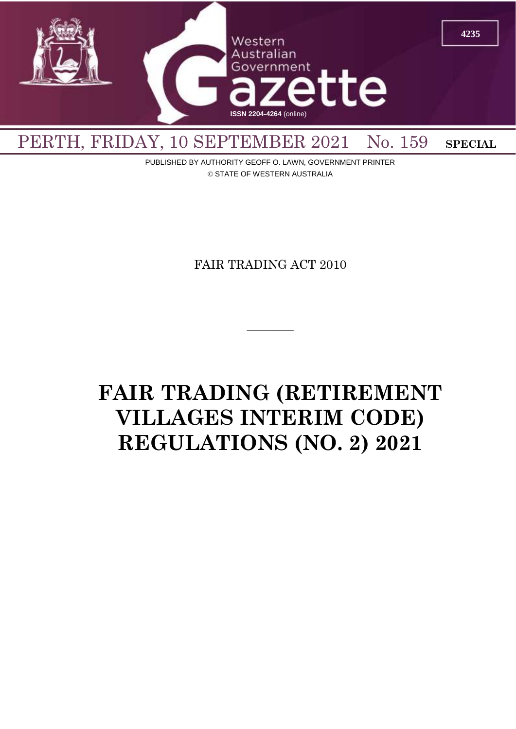

PUBLISHED BY AUTHORITY GEOFF O. LAWN, GOVERNMENT PRINTER © STATE OF WESTERN AUSTRALIA

FAIR TRADING ACT 2010

 $\overline{\phantom{a}}$ 

# **FAIR TRADING (RETIREMENT VILLAGES INTERIM CODE) REGULATIONS (NO. 2) 2021**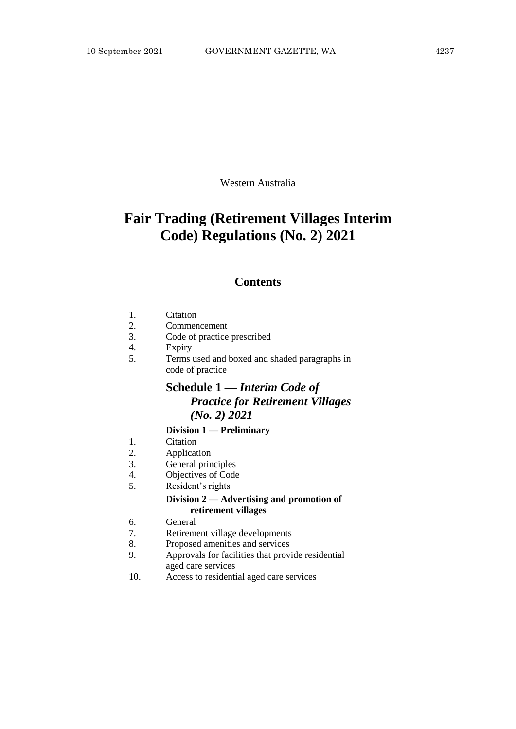Western Australia

# **Fair Trading (Retirement Villages Interim Code) Regulations (No. 2) 2021**

## **Contents**

- 2. Commencement
- 3. Code of practice prescribed
- 4. Expiry<br>5. Terms
- 5. Terms used and boxed and shaded paragraphs in code of practice

## **Schedule 1 —** *Interim Code of Practice for Retirement Villages (No. 2) 2021*

### **Division 1 — Preliminary**

- 1. Citation
- 2. Application
- 3. General principles
- 4. Objectives of Code
- 5. Resident's rights

**Division 2 — Advertising and promotion of retirement villages**

- 6. General
- 7. Retirement village developments
- 8. Proposed amenities and services
- 9. Approvals for facilities that provide residential aged care services
- 10. Access to residential aged care services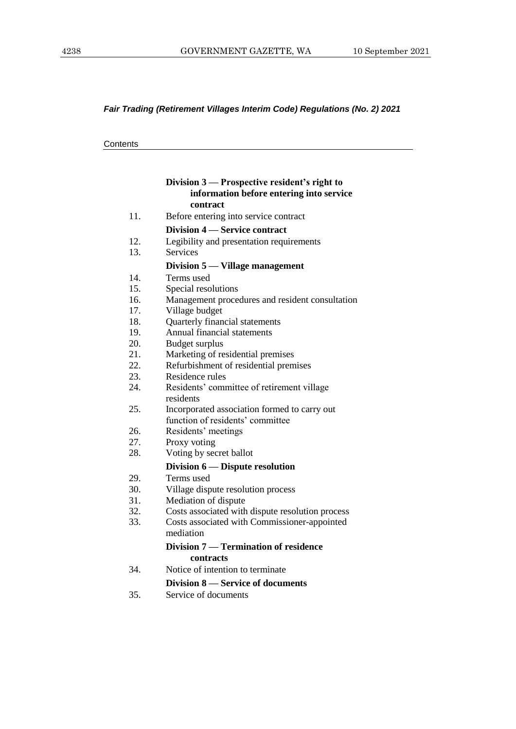## *Fair Trading (Retirement Villages Interim Code) Regulations (No. 2) 2021*

**Contents** 

|     | Division 3 — Prospective resident's right to     |
|-----|--------------------------------------------------|
|     | information before entering into service         |
|     | contract                                         |
| 11. | Before entering into service contract            |
|     | Division 4 – Service contract                    |
| 12. | Legibility and presentation requirements         |
| 13. | <b>Services</b>                                  |
|     | Division 5 — Village management                  |
| 14. | Terms used                                       |
| 15. | Special resolutions                              |
| 16. | Management procedures and resident consultation  |
| 17. | Village budget                                   |
| 18. | Quarterly financial statements                   |
| 19. | Annual financial statements                      |
| 20. | Budget surplus                                   |
| 21. | Marketing of residential premises                |
| 22. | Refurbishment of residential premises            |
| 23. | Residence rules                                  |
| 24. | Residents' committee of retirement village       |
|     | residents                                        |
| 25. | Incorporated association formed to carry out     |
|     | function of residents' committee                 |
| 26. | Residents' meetings                              |
| 27. | Proxy voting                                     |
| 28. | Voting by secret ballot                          |
|     | Division 6 — Dispute resolution                  |
| 29. | Terms used                                       |
| 30. | Village dispute resolution process               |
| 31. | Mediation of dispute                             |
| 32. | Costs associated with dispute resolution process |
| 33. | Costs associated with Commissioner-appointed     |
|     | mediation                                        |
|     | Division 7 — Termination of residence            |
|     | contracts                                        |
| 34. | Notice of intention to terminate                 |
|     | Division 8 – Service of documents                |
| 35. | Service of documents                             |
|     |                                                  |
|     |                                                  |
|     |                                                  |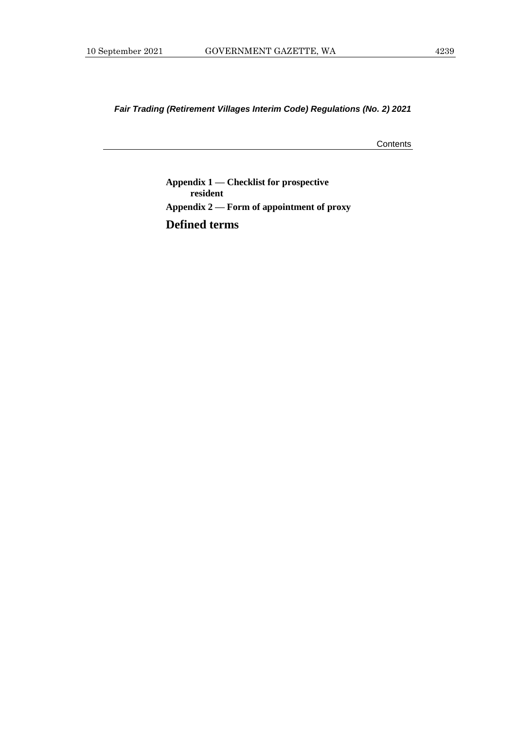*Fair Trading (Retirement Villages Interim Code) Regulations (No. 2) 2021*

**Contents** 

**Appendix 1 — Checklist for prospective resident Appendix 2 — Form of appointment of proxy Defined terms**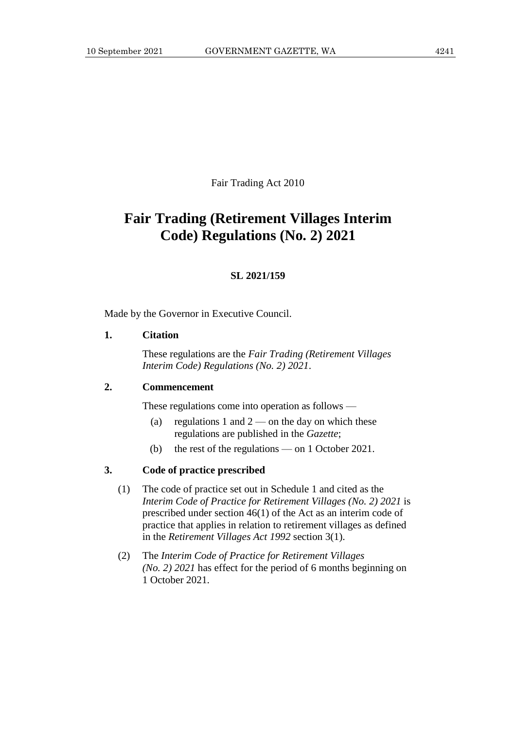Fair Trading Act 2010

# **Fair Trading (Retirement Villages Interim Code) Regulations (No. 2) 2021**

#### **SL 2021/159**

Made by the Governor in Executive Council.

## **1. Citation**

These regulations are the *Fair Trading (Retirement Villages Interim Code) Regulations (No. 2) 2021*.

## **2. Commencement**

These regulations come into operation as follows —

- (a) regulations 1 and  $2$  on the day on which these regulations are published in the *Gazette*;
- (b) the rest of the regulations on 1 October 2021.

## **3. Code of practice prescribed**

- (1) The code of practice set out in Schedule 1 and cited as the *Interim Code of Practice for Retirement Villages (No. 2) 2021* is prescribed under section 46(1) of the Act as an interim code of practice that applies in relation to retirement villages as defined in the *Retirement Villages Act 1992* section 3(1).
- (2) The *Interim Code of Practice for Retirement Villages (No. 2) 2021* has effect for the period of 6 months beginning on 1 October 2021.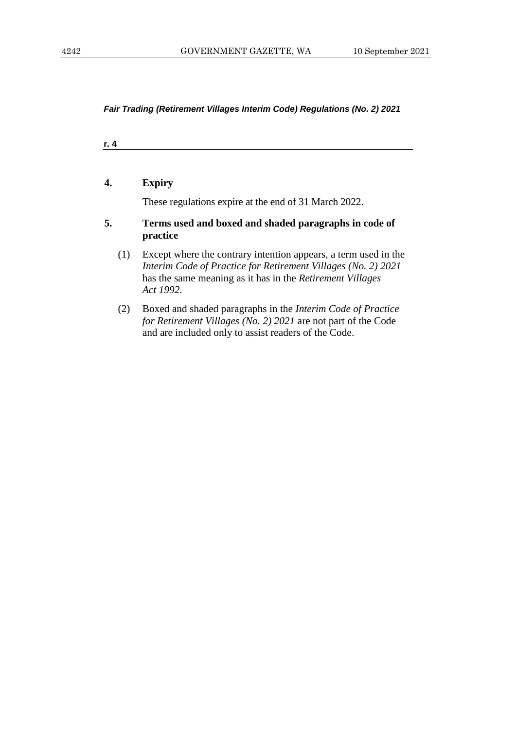*Fair Trading (Retirement Villages Interim Code) Regulations (No. 2) 2021*

| . . |
|-----|
|-----|

## **4. Expiry**

These regulations expire at the end of 31 March 2022.

## **5. Terms used and boxed and shaded paragraphs in code of practice**

- (1) Except where the contrary intention appears, a term used in the *Interim Code of Practice for Retirement Villages (No. 2) 2021*  has the same meaning as it has in the *Retirement Villages Act 1992*.
- (2) Boxed and shaded paragraphs in the *Interim Code of Practice for Retirement Villages (No. 2) 2021* are not part of the Code and are included only to assist readers of the Code.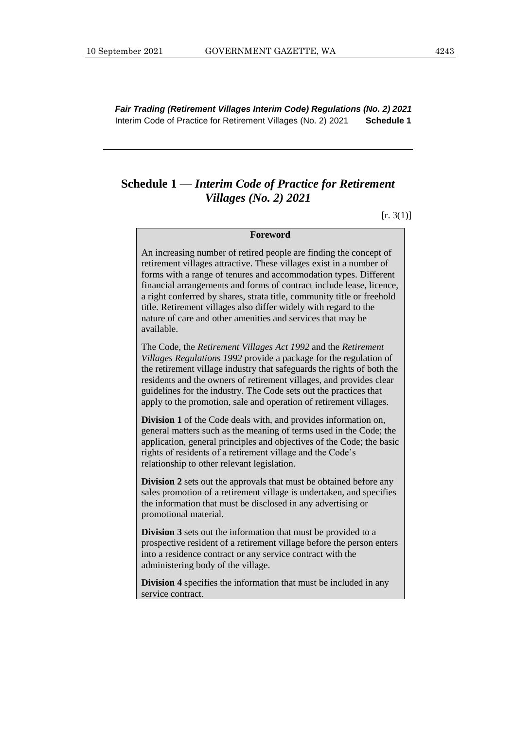*Fair Trading (Retirement Villages Interim Code) Regulations (No. 2) 2021* Interim Code of Practice for Retirement Villages (No. 2) 2021 **Schedule 1** 

## **Schedule 1 —** *Interim Code of Practice for Retirement Villages (No. 2) 2021*

 $[r. 3(1)]$ 

#### **Foreword**

An increasing number of retired people are finding the concept of retirement villages attractive. These villages exist in a number of forms with a range of tenures and accommodation types. Different financial arrangements and forms of contract include lease, licence, a right conferred by shares, strata title, community title or freehold title. Retirement villages also differ widely with regard to the nature of care and other amenities and services that may be available.

The Code, the *Retirement Villages Act 1992* and the *Retirement Villages Regulations 1992* provide a package for the regulation of the retirement village industry that safeguards the rights of both the residents and the owners of retirement villages, and provides clear guidelines for the industry. The Code sets out the practices that apply to the promotion, sale and operation of retirement villages.

**Division 1** of the Code deals with, and provides information on, general matters such as the meaning of terms used in the Code; the application, general principles and objectives of the Code; the basic rights of residents of a retirement village and the Code's relationship to other relevant legislation.

**Division 2** sets out the approvals that must be obtained before any sales promotion of a retirement village is undertaken, and specifies the information that must be disclosed in any advertising or promotional material.

**Division 3** sets out the information that must be provided to a prospective resident of a retirement village before the person enters into a residence contract or any service contract with the administering body of the village.

**Division 4** specifies the information that must be included in any service contract.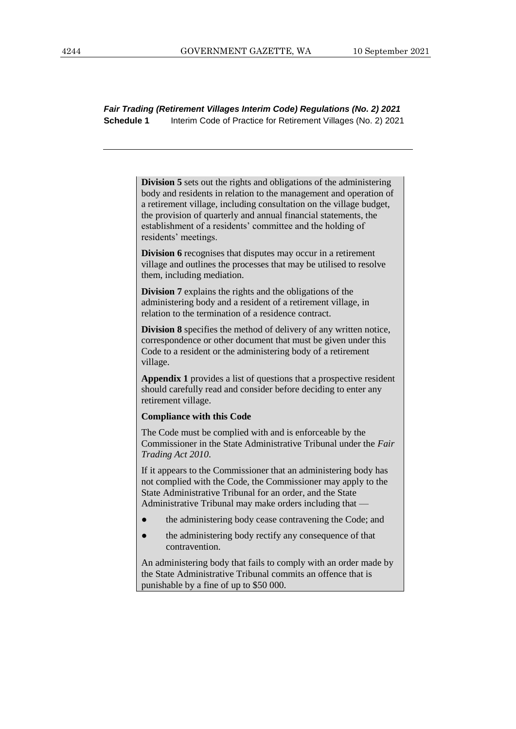*Fair Trading (Retirement Villages Interim Code) Regulations (No. 2) 2021* **Schedule 1** Interim Code of Practice for Retirement Villages (No. 2) 2021

> **Division 5** sets out the rights and obligations of the administering body and residents in relation to the management and operation of a retirement village, including consultation on the village budget, the provision of quarterly and annual financial statements, the establishment of a residents' committee and the holding of residents' meetings.

**Division 6** recognises that disputes may occur in a retirement village and outlines the processes that may be utilised to resolve them, including mediation.

**Division 7** explains the rights and the obligations of the administering body and a resident of a retirement village, in relation to the termination of a residence contract.

**Division 8** specifies the method of delivery of any written notice, correspondence or other document that must be given under this Code to a resident or the administering body of a retirement village.

**Appendix 1** provides a list of questions that a prospective resident should carefully read and consider before deciding to enter any retirement village.

#### **Compliance with this Code**

The Code must be complied with and is enforceable by the Commissioner in the State Administrative Tribunal under the *Fair Trading Act 2010*.

If it appears to the Commissioner that an administering body has not complied with the Code, the Commissioner may apply to the State Administrative Tribunal for an order, and the State Administrative Tribunal may make orders including that —

- the administering body cease contravening the Code; and
- the administering body rectify any consequence of that contravention.

An administering body that fails to comply with an order made by the State Administrative Tribunal commits an offence that is punishable by a fine of up to \$50 000.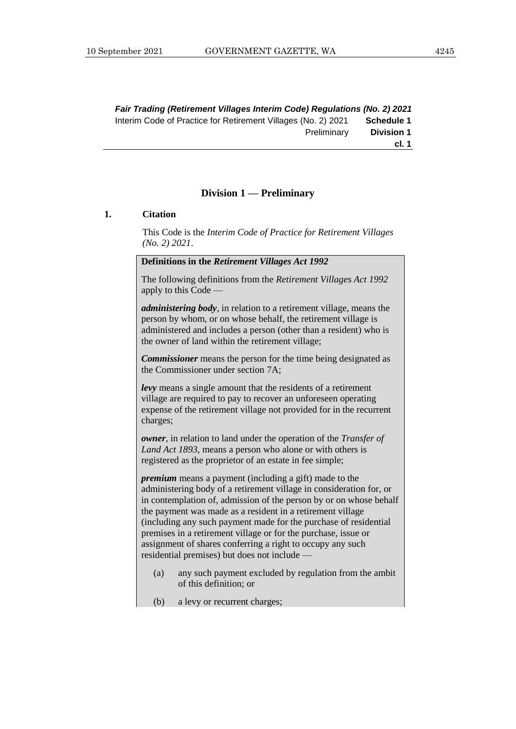#### **Division 1 — Preliminary**

#### **1. Citation**

This Code is the *Interim Code of Practice for Retirement Villages (No. 2) 2021*.

#### **Definitions in the** *Retirement Villages Act 1992*

The following definitions from the *Retirement Villages Act 1992* apply to this Code —

*administering body*, in relation to a retirement village, means the person by whom, or on whose behalf, the retirement village is administered and includes a person (other than a resident) who is the owner of land within the retirement village;

*Commissioner* means the person for the time being designated as the Commissioner under section 7A;

*levy* means a single amount that the residents of a retirement village are required to pay to recover an unforeseen operating expense of the retirement village not provided for in the recurrent charges;

*owner*, in relation to land under the operation of the *Transfer of Land Act 1893*, means a person who alone or with others is registered as the proprietor of an estate in fee simple;

*premium* means a payment (including a gift) made to the administering body of a retirement village in consideration for, or in contemplation of, admission of the person by or on whose behalf the payment was made as a resident in a retirement village (including any such payment made for the purchase of residential premises in a retirement village or for the purchase, issue or assignment of shares conferring a right to occupy any such residential premises) but does not include —

(a) any such payment excluded by regulation from the ambit of this definition; or

(b) a levy or recurrent charges;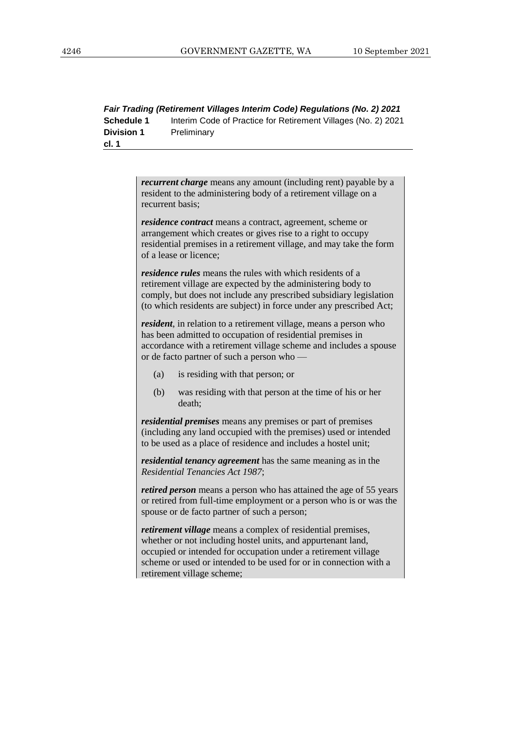*Fair Trading (Retirement Villages Interim Code) Regulations (No. 2) 2021* **Schedule 1** Interim Code of Practice for Retirement Villages (No. 2) 2021 **Division 1** Preliminary **cl. 1**

> *recurrent charge* means any amount (including rent) payable by a resident to the administering body of a retirement village on a recurrent basis;

> *residence contract* means a contract, agreement, scheme or arrangement which creates or gives rise to a right to occupy residential premises in a retirement village, and may take the form of a lease or licence;

> *residence rules* means the rules with which residents of a retirement village are expected by the administering body to comply, but does not include any prescribed subsidiary legislation (to which residents are subject) in force under any prescribed Act;

*resident*, in relation to a retirement village, means a person who has been admitted to occupation of residential premises in accordance with a retirement village scheme and includes a spouse or de facto partner of such a person who —

- (a) is residing with that person; or
- (b) was residing with that person at the time of his or her death;

*residential premises* means any premises or part of premises (including any land occupied with the premises) used or intended to be used as a place of residence and includes a hostel unit;

*residential tenancy agreement* has the same meaning as in the *Residential Tenancies Act 1987*;

*retired person* means a person who has attained the age of 55 years or retired from full-time employment or a person who is or was the spouse or de facto partner of such a person;

*retirement village* means a complex of residential premises, whether or not including hostel units, and appurtenant land, occupied or intended for occupation under a retirement village scheme or used or intended to be used for or in connection with a retirement village scheme;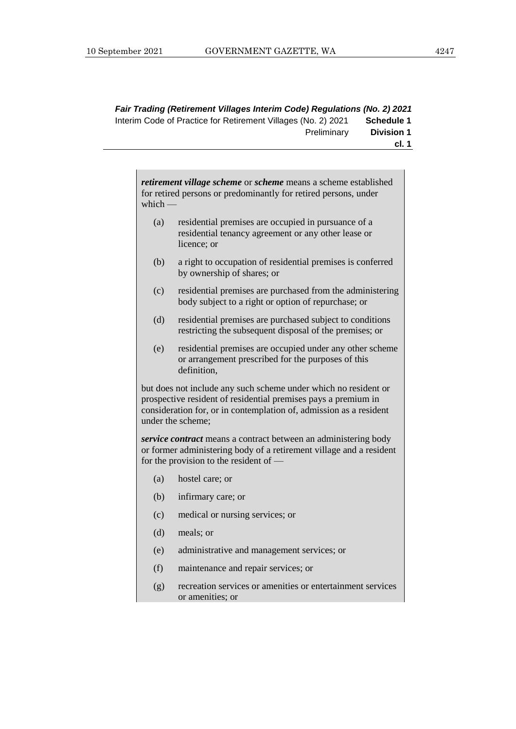*retirement village scheme* or *scheme* means a scheme established for retired persons or predominantly for retired persons, under which — (a) residential premises are occupied in pursuance of a residential tenancy agreement or any other lease or licence; or (b) a right to occupation of residential premises is conferred by ownership of shares; or (c) residential premises are purchased from the administering body subject to a right or option of repurchase; or (d) residential premises are purchased subject to conditions restricting the subsequent disposal of the premises; or (e) residential premises are occupied under any other scheme or arrangement prescribed for the purposes of this definition, but does not include any such scheme under which no resident or prospective resident of residential premises pays a premium in consideration for, or in contemplation of, admission as a resident under the scheme; *service contract* means a contract between an administering body or former administering body of a retirement village and a resident for the provision to the resident of — (a) hostel care; or (b) infirmary care; or (c) medical or nursing services; or (d) meals; or (e) administrative and management services; or (f) maintenance and repair services; or (g) recreation services or amenities or entertainment services or amenities; or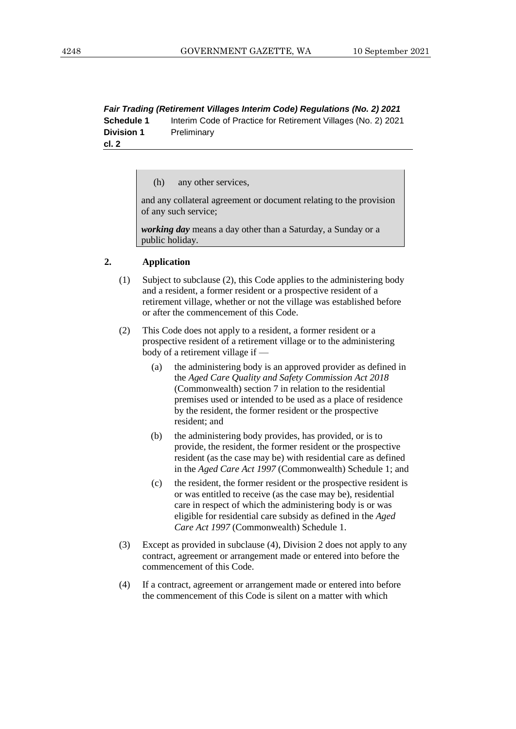*Fair Trading (Retirement Villages Interim Code) Regulations (No. 2) 2021* **Schedule 1** Interim Code of Practice for Retirement Villages (No. 2) 2021 **Division 1** Preliminary **cl. 2**

(h) any other services,

and any collateral agreement or document relating to the provision of any such service;

*working day* means a day other than a Saturday, a Sunday or a public holiday.

## **2. Application**

- (1) Subject to subclause (2), this Code applies to the administering body and a resident, a former resident or a prospective resident of a retirement village, whether or not the village was established before or after the commencement of this Code.
- (2) This Code does not apply to a resident, a former resident or a prospective resident of a retirement village or to the administering body of a retirement village if —
	- (a) the administering body is an approved provider as defined in the *Aged Care Quality and Safety Commission Act 2018* (Commonwealth) section 7 in relation to the residential premises used or intended to be used as a place of residence by the resident, the former resident or the prospective resident; and
	- (b) the administering body provides, has provided, or is to provide, the resident, the former resident or the prospective resident (as the case may be) with residential care as defined in the *Aged Care Act 1997* (Commonwealth) Schedule 1; and
	- (c) the resident, the former resident or the prospective resident is or was entitled to receive (as the case may be), residential care in respect of which the administering body is or was eligible for residential care subsidy as defined in the *Aged Care Act 1997* (Commonwealth) Schedule 1.
- (3) Except as provided in subclause (4), Division 2 does not apply to any contract, agreement or arrangement made or entered into before the commencement of this Code.
- (4) If a contract, agreement or arrangement made or entered into before the commencement of this Code is silent on a matter with which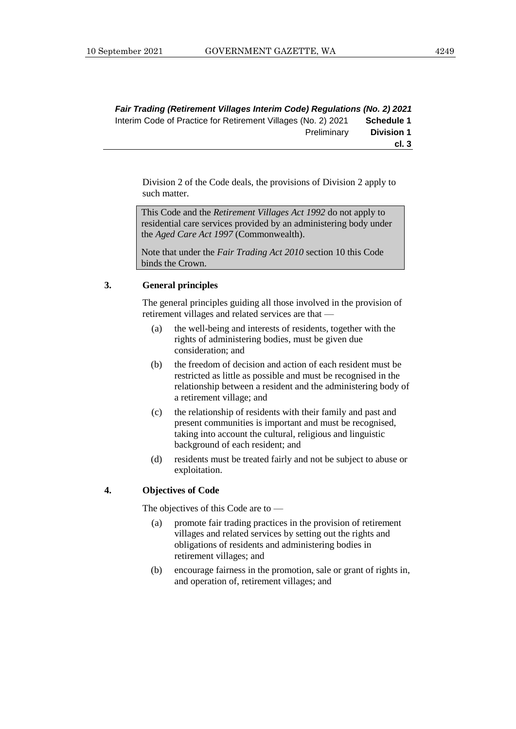Division 2 of the Code deals, the provisions of Division 2 apply to such matter.

This Code and the *Retirement Villages Act 1992* do not apply to residential care services provided by an administering body under the *Aged Care Act 1997* (Commonwealth).

Note that under the *Fair Trading Act 2010* section 10 this Code binds the Crown.

#### **3. General principles**

The general principles guiding all those involved in the provision of retirement villages and related services are that —

- (a) the well-being and interests of residents, together with the rights of administering bodies, must be given due consideration; and
- (b) the freedom of decision and action of each resident must be restricted as little as possible and must be recognised in the relationship between a resident and the administering body of a retirement village; and
- (c) the relationship of residents with their family and past and present communities is important and must be recognised, taking into account the cultural, religious and linguistic background of each resident; and
- (d) residents must be treated fairly and not be subject to abuse or exploitation.

#### **4. Objectives of Code**

The objectives of this Code are to —

- (a) promote fair trading practices in the provision of retirement villages and related services by setting out the rights and obligations of residents and administering bodies in retirement villages; and
- (b) encourage fairness in the promotion, sale or grant of rights in, and operation of, retirement villages; and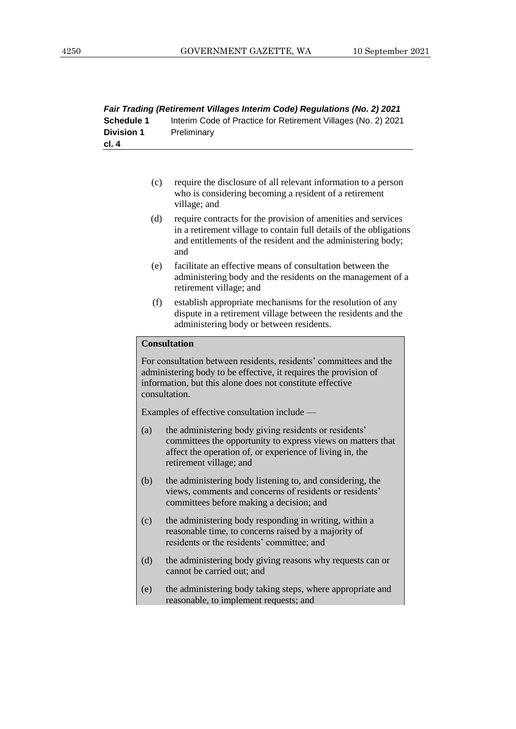| Fair Trading (Retirement Villages Interim Code) Regulations (No. 2) 2021 |                                                               |  |
|--------------------------------------------------------------------------|---------------------------------------------------------------|--|
| <b>Schedule 1</b>                                                        | Interim Code of Practice for Retirement Villages (No. 2) 2021 |  |
| <b>Division 1</b>                                                        | Preliminary                                                   |  |
| cl. 4                                                                    |                                                               |  |

- (c) require the disclosure of all relevant information to a person who is considering becoming a resident of a retirement village; and
- (d) require contracts for the provision of amenities and services in a retirement village to contain full details of the obligations and entitlements of the resident and the administering body; and
- (e) facilitate an effective means of consultation between the administering body and the residents on the management of a retirement village; and
- (f) establish appropriate mechanisms for the resolution of any dispute in a retirement village between the residents and the administering body or between residents.

#### **Consultation**

For consultation between residents, residents' committees and the administering body to be effective, it requires the provision of information, but this alone does not constitute effective consultation.

Examples of effective consultation include —

- (a) the administering body giving residents or residents' committees the opportunity to express views on matters that affect the operation of, or experience of living in, the retirement village; and
- (b) the administering body listening to, and considering, the views, comments and concerns of residents or residents' committees before making a decision; and
- (c) the administering body responding in writing, within a reasonable time, to concerns raised by a majority of residents or the residents' committee; and
- (d) the administering body giving reasons why requests can or cannot be carried out; and
- (e) the administering body taking steps, where appropriate and reasonable, to implement requests; and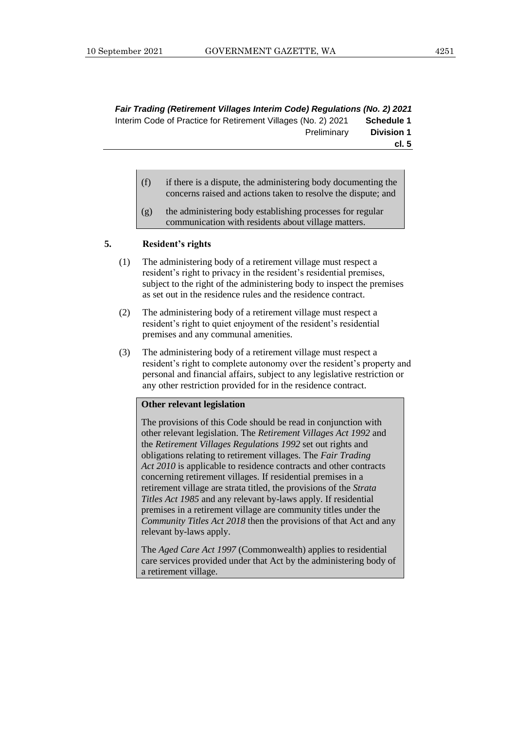- (f) if there is a dispute, the administering body documenting the concerns raised and actions taken to resolve the dispute; and
- (g) the administering body establishing processes for regular communication with residents about village matters.

#### **5. Resident's rights**

- (1) The administering body of a retirement village must respect a resident's right to privacy in the resident's residential premises, subject to the right of the administering body to inspect the premises as set out in the residence rules and the residence contract.
- (2) The administering body of a retirement village must respect a resident's right to quiet enjoyment of the resident's residential premises and any communal amenities.
- (3) The administering body of a retirement village must respect a resident's right to complete autonomy over the resident's property and personal and financial affairs, subject to any legislative restriction or any other restriction provided for in the residence contract.

#### **Other relevant legislation**

The provisions of this Code should be read in conjunction with other relevant legislation. The *Retirement Villages Act 1992* and the *Retirement Villages Regulations 1992* set out rights and obligations relating to retirement villages. The *Fair Trading Act 2010* is applicable to residence contracts and other contracts concerning retirement villages. If residential premises in a retirement village are strata titled, the provisions of the *Strata Titles Act 1985* and any relevant by-laws apply. If residential premises in a retirement village are community titles under the *Community Titles Act 2018* then the provisions of that Act and any relevant by-laws apply.

The *Aged Care Act 1997* (Commonwealth) applies to residential care services provided under that Act by the administering body of a retirement village.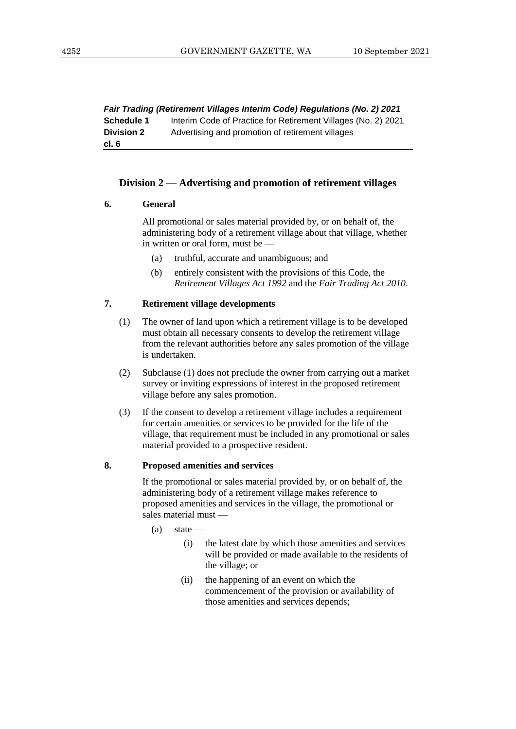*Fair Trading (Retirement Villages Interim Code) Regulations (No. 2) 2021* **Schedule 1** Interim Code of Practice for Retirement Villages (No. 2) 2021 **Division 2** Advertising and promotion of retirement villages **cl. 6**

## **Division 2 — Advertising and promotion of retirement villages**

#### **6. General**

All promotional or sales material provided by, or on behalf of, the administering body of a retirement village about that village, whether in written or oral form, must be —

- (a) truthful, accurate and unambiguous; and
- (b) entirely consistent with the provisions of this Code, the *Retirement Villages Act 1992* and the *Fair Trading Act 2010*.

#### **7. Retirement village developments**

- (1) The owner of land upon which a retirement village is to be developed must obtain all necessary consents to develop the retirement village from the relevant authorities before any sales promotion of the village is undertaken.
- (2) Subclause (1) does not preclude the owner from carrying out a market survey or inviting expressions of interest in the proposed retirement village before any sales promotion.
- (3) If the consent to develop a retirement village includes a requirement for certain amenities or services to be provided for the life of the village, that requirement must be included in any promotional or sales material provided to a prospective resident.

#### **8. Proposed amenities and services**

If the promotional or sales material provided by, or on behalf of, the administering body of a retirement village makes reference to proposed amenities and services in the village, the promotional or sales material must —

- $(a)$  state
	- (i) the latest date by which those amenities and services will be provided or made available to the residents of the village; or
	- (ii) the happening of an event on which the commencement of the provision or availability of those amenities and services depends;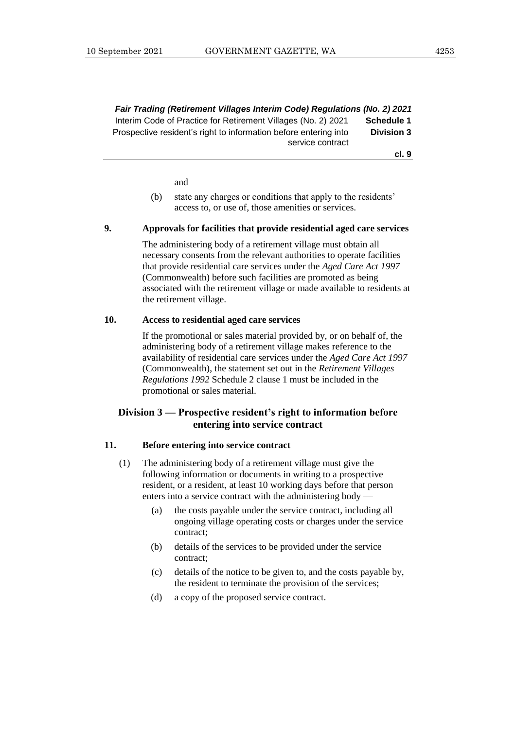*Fair Trading (Retirement Villages Interim Code) Regulations (No. 2) 2021* Interim Code of Practice for Retirement Villages (No. 2) 2021 **Schedule 1** Prospective resident's right to information before entering into service contract **Division 3 cl. 9**

and

(b) state any charges or conditions that apply to the residents' access to, or use of, those amenities or services.

## **9. Approvals for facilities that provide residential aged care services**

The administering body of a retirement village must obtain all necessary consents from the relevant authorities to operate facilities that provide residential care services under the *Aged Care Act 1997* (Commonwealth) before such facilities are promoted as being associated with the retirement village or made available to residents at the retirement village.

#### **10. Access to residential aged care services**

If the promotional or sales material provided by, or on behalf of, the administering body of a retirement village makes reference to the availability of residential care services under the *Aged Care Act 1997* (Commonwealth), the statement set out in the *Retirement Villages Regulations 1992* Schedule 2 clause 1 must be included in the promotional or sales material.

## **Division 3 — Prospective resident's right to information before entering into service contract**

## **11. Before entering into service contract**

- (1) The administering body of a retirement village must give the following information or documents in writing to a prospective resident, or a resident, at least 10 working days before that person enters into a service contract with the administering body —
	- (a) the costs payable under the service contract, including all ongoing village operating costs or charges under the service contract;
	- (b) details of the services to be provided under the service contract;
	- (c) details of the notice to be given to, and the costs payable by, the resident to terminate the provision of the services;
	- (d) a copy of the proposed service contract.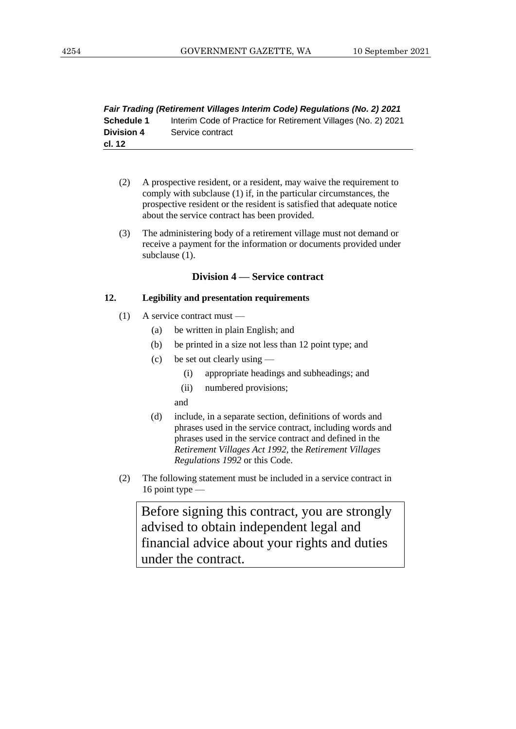| Fair Trading (Retirement Villages Interim Code) Regulations (No. 2) 2021 |                                                               |  |
|--------------------------------------------------------------------------|---------------------------------------------------------------|--|
| Schedule 1                                                               | Interim Code of Practice for Retirement Villages (No. 2) 2021 |  |
| <b>Division 4</b>                                                        | Service contract                                              |  |
| cl. 12                                                                   |                                                               |  |

- (2) A prospective resident, or a resident, may waive the requirement to comply with subclause (1) if, in the particular circumstances, the prospective resident or the resident is satisfied that adequate notice about the service contract has been provided.
- (3) The administering body of a retirement village must not demand or receive a payment for the information or documents provided under subclause (1).

#### **Division 4 — Service contract**

## **12. Legibility and presentation requirements**

- (1) A service contract must
	- (a) be written in plain English; and
	- (b) be printed in a size not less than 12 point type; and
	- (c) be set out clearly using
		- (i) appropriate headings and subheadings; and
		- (ii) numbered provisions;
		- and
	- (d) include, in a separate section, definitions of words and phrases used in the service contract, including words and phrases used in the service contract and defined in the *Retirement Villages Act 1992*, the *Retirement Villages Regulations 1992* or this Code.
- (2) The following statement must be included in a service contract in 16 point type —

Before signing this contract, you are strongly advised to obtain independent legal and financial advice about your rights and duties under the contract.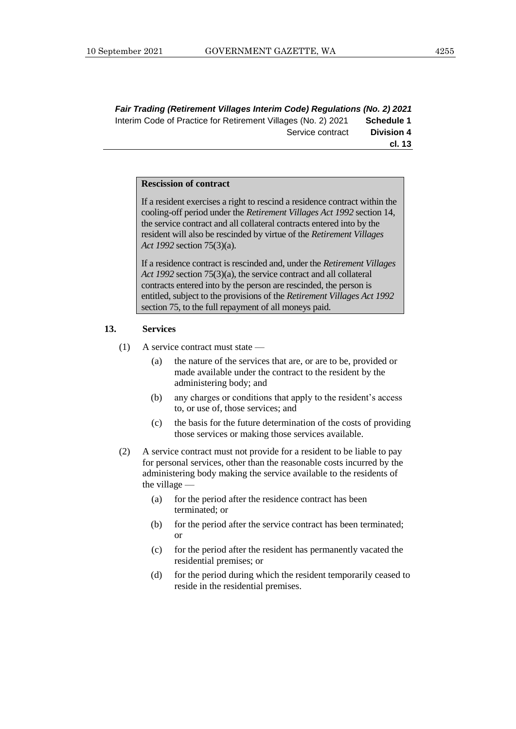#### **Rescission of contract**

If a resident exercises a right to rescind a residence contract within the cooling-off period under the *Retirement Villages Act 1992* section 14, the service contract and all collateral contracts entered into by the resident will also be rescinded by virtue of the *Retirement Villages Act 1992* section 75(3)(a).

If a residence contract is rescinded and, under the *Retirement Villages Act 1992* section 75(3)(a), the service contract and all collateral contracts entered into by the person are rescinded, the person is entitled, subject to the provisions of the *Retirement Villages Act 1992* section 75, to the full repayment of all moneys paid.

#### **13. Services**

- (1) A service contract must state
	- (a) the nature of the services that are, or are to be, provided or made available under the contract to the resident by the administering body; and
	- (b) any charges or conditions that apply to the resident's access to, or use of, those services; and
	- (c) the basis for the future determination of the costs of providing those services or making those services available.
- (2) A service contract must not provide for a resident to be liable to pay for personal services, other than the reasonable costs incurred by the administering body making the service available to the residents of the village —
	- (a) for the period after the residence contract has been terminated; or
	- (b) for the period after the service contract has been terminated; or
	- (c) for the period after the resident has permanently vacated the residential premises; or
	- (d) for the period during which the resident temporarily ceased to reside in the residential premises.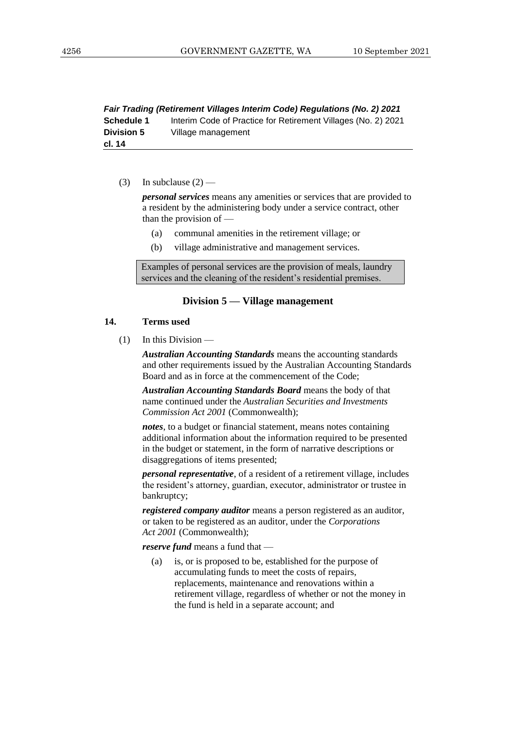*Fair Trading (Retirement Villages Interim Code) Regulations (No. 2) 2021* **Schedule 1** Interim Code of Practice for Retirement Villages (No. 2) 2021 **Division 5** Village management **cl. 14**

(3) In subclause  $(2)$  —

*personal services* means any amenities or services that are provided to a resident by the administering body under a service contract, other than the provision of —

- (a) communal amenities in the retirement village; or
- (b) village administrative and management services.

Examples of personal services are the provision of meals, laundry services and the cleaning of the resident's residential premises.

#### **Division 5 — Village management**

#### **14. Terms used**

 $(1)$  In this Division —

*Australian Accounting Standards* means the accounting standards and other requirements issued by the Australian Accounting Standards Board and as in force at the commencement of the Code;

*Australian Accounting Standards Board* means the body of that name continued under the *Australian Securities and Investments Commission Act 2001* (Commonwealth);

*notes*, to a budget or financial statement, means notes containing additional information about the information required to be presented in the budget or statement, in the form of narrative descriptions or disaggregations of items presented;

*personal representative*, of a resident of a retirement village, includes the resident's attorney, guardian, executor, administrator or trustee in bankruptcy;

*registered company auditor* means a person registered as an auditor, or taken to be registered as an auditor, under the *Corporations Act 2001* (Commonwealth);

*reserve fund* means a fund that —

(a) is, or is proposed to be, established for the purpose of accumulating funds to meet the costs of repairs, replacements, maintenance and renovations within a retirement village, regardless of whether or not the money in the fund is held in a separate account; and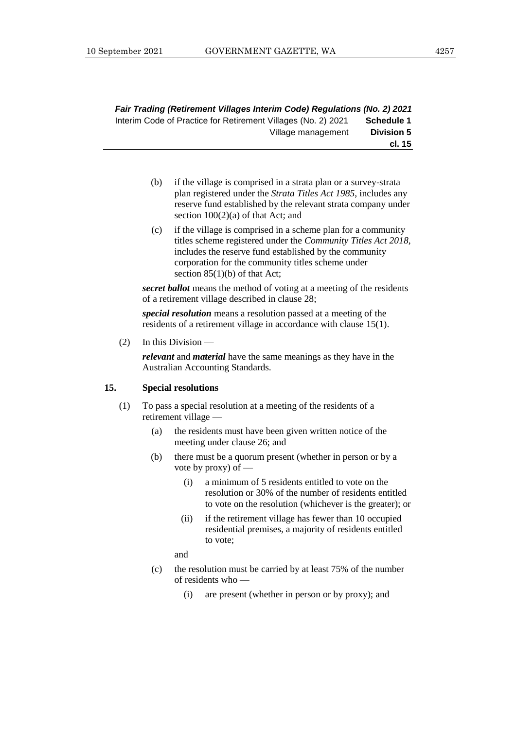- (b) if the village is comprised in a strata plan or a survey-strata plan registered under the *Strata Titles Act 1985*, includes any reserve fund established by the relevant strata company under section 100(2)(a) of that Act; and
- (c) if the village is comprised in a scheme plan for a community titles scheme registered under the *Community Titles Act 2018*, includes the reserve fund established by the community corporation for the community titles scheme under section  $85(1)(b)$  of that Act;

*secret ballot* means the method of voting at a meeting of the residents of a retirement village described in clause 28;

*special resolution* means a resolution passed at a meeting of the residents of a retirement village in accordance with clause 15(1).

 $(2)$  In this Division —

*relevant* and *material* have the same meanings as they have in the Australian Accounting Standards.

#### **15. Special resolutions**

- (1) To pass a special resolution at a meeting of the residents of a retirement village —
	- (a) the residents must have been given written notice of the meeting under clause 26; and
	- (b) there must be a quorum present (whether in person or by a vote by proxy) of —
		- (i) a minimum of 5 residents entitled to vote on the resolution or 30% of the number of residents entitled to vote on the resolution (whichever is the greater); or
		- (ii) if the retirement village has fewer than 10 occupied residential premises, a majority of residents entitled to vote;

and

- (c) the resolution must be carried by at least 75% of the number of residents who —
	- (i) are present (whether in person or by proxy); and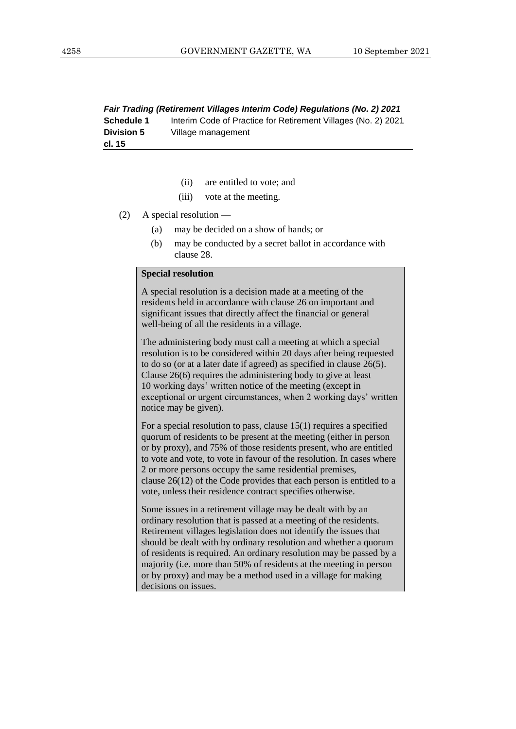*Fair Trading (Retirement Villages Interim Code) Regulations (No. 2) 2021* **Schedule 1** Interim Code of Practice for Retirement Villages (No. 2) 2021 **Division 5** Village management **cl. 15**

- (ii) are entitled to vote; and
- (iii) vote at the meeting.
- (2) A special resolution
	- (a) may be decided on a show of hands; or
	- (b) may be conducted by a secret ballot in accordance with clause 28.

#### **Special resolution**

A special resolution is a decision made at a meeting of the residents held in accordance with clause 26 on important and significant issues that directly affect the financial or general well-being of all the residents in a village.

The administering body must call a meeting at which a special resolution is to be considered within 20 days after being requested to do so (or at a later date if agreed) as specified in clause 26(5). Clause 26(6) requires the administering body to give at least 10 working days' written notice of the meeting (except in exceptional or urgent circumstances, when 2 working days' written notice may be given).

For a special resolution to pass, clause 15(1) requires a specified quorum of residents to be present at the meeting (either in person or by proxy), and 75% of those residents present, who are entitled to vote and vote, to vote in favour of the resolution. In cases where 2 or more persons occupy the same residential premises, clause 26(12) of the Code provides that each person is entitled to a vote, unless their residence contract specifies otherwise.

Some issues in a retirement village may be dealt with by an ordinary resolution that is passed at a meeting of the residents. Retirement villages legislation does not identify the issues that should be dealt with by ordinary resolution and whether a quorum of residents is required. An ordinary resolution may be passed by a majority (i.e. more than 50% of residents at the meeting in person or by proxy) and may be a method used in a village for making decisions on issues.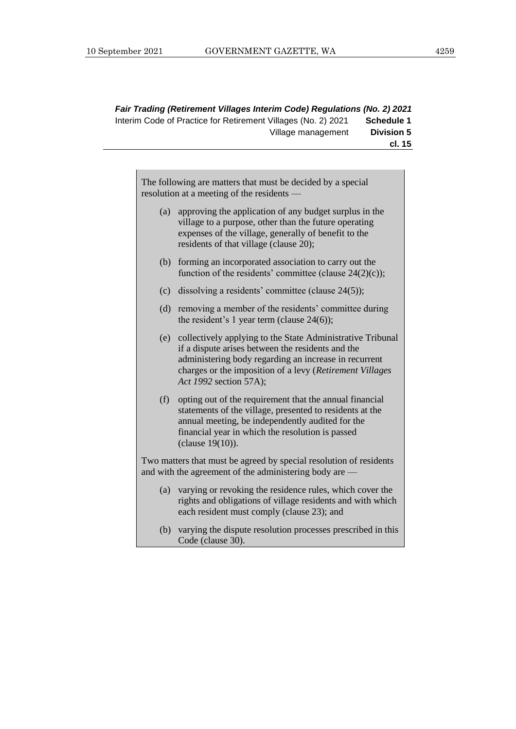The following are matters that must be decided by a special resolution at a meeting of the residents —

- (a) approving the application of any budget surplus in the village to a purpose, other than the future operating expenses of the village, generally of benefit to the residents of that village (clause 20);
- (b) forming an incorporated association to carry out the function of the residents' committee (clause  $24(2)(c)$ );
- (c) dissolving a residents' committee (clause 24(5));
- (d) removing a member of the residents' committee during the resident's 1 year term (clause 24(6));
- (e) collectively applying to the State Administrative Tribunal if a dispute arises between the residents and the administering body regarding an increase in recurrent charges or the imposition of a levy (*Retirement Villages Act 1992* section 57A);
- (f) opting out of the requirement that the annual financial statements of the village, presented to residents at the annual meeting, be independently audited for the financial year in which the resolution is passed (clause 19(10)).

Two matters that must be agreed by special resolution of residents and with the agreement of the administering body are —

- (a) varying or revoking the residence rules, which cover the rights and obligations of village residents and with which each resident must comply (clause 23); and
- (b) varying the dispute resolution processes prescribed in this Code (clause 30).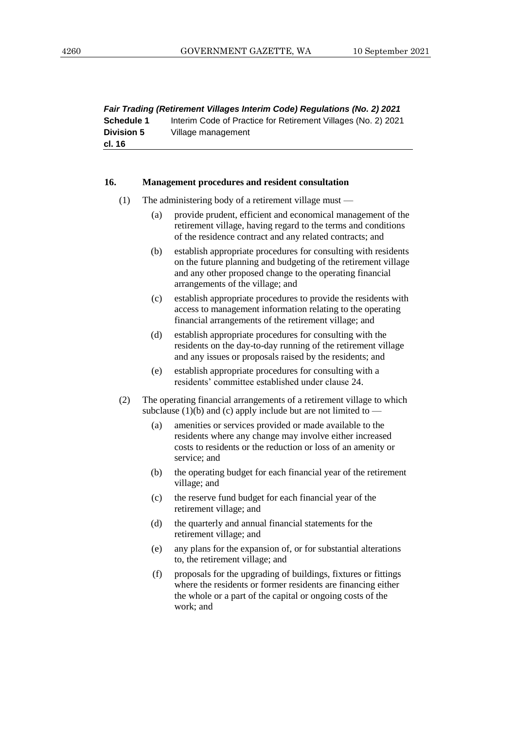*Fair Trading (Retirement Villages Interim Code) Regulations (No. 2) 2021* **Schedule 1** Interim Code of Practice for Retirement Villages (No. 2) 2021 **Division 5** Village management **cl. 16**

#### **16. Management procedures and resident consultation**

- (1) The administering body of a retirement village must
	- (a) provide prudent, efficient and economical management of the retirement village, having regard to the terms and conditions of the residence contract and any related contracts; and
	- (b) establish appropriate procedures for consulting with residents on the future planning and budgeting of the retirement village and any other proposed change to the operating financial arrangements of the village; and
	- (c) establish appropriate procedures to provide the residents with access to management information relating to the operating financial arrangements of the retirement village; and
	- (d) establish appropriate procedures for consulting with the residents on the day-to-day running of the retirement village and any issues or proposals raised by the residents; and
	- (e) establish appropriate procedures for consulting with a residents' committee established under clause 24.
- (2) The operating financial arrangements of a retirement village to which subclause  $(1)(b)$  and  $(c)$  apply include but are not limited to —
	- (a) amenities or services provided or made available to the residents where any change may involve either increased costs to residents or the reduction or loss of an amenity or service; and
	- (b) the operating budget for each financial year of the retirement village; and
	- (c) the reserve fund budget for each financial year of the retirement village; and
	- (d) the quarterly and annual financial statements for the retirement village; and
	- (e) any plans for the expansion of, or for substantial alterations to, the retirement village; and
	- (f) proposals for the upgrading of buildings, fixtures or fittings where the residents or former residents are financing either the whole or a part of the capital or ongoing costs of the work; and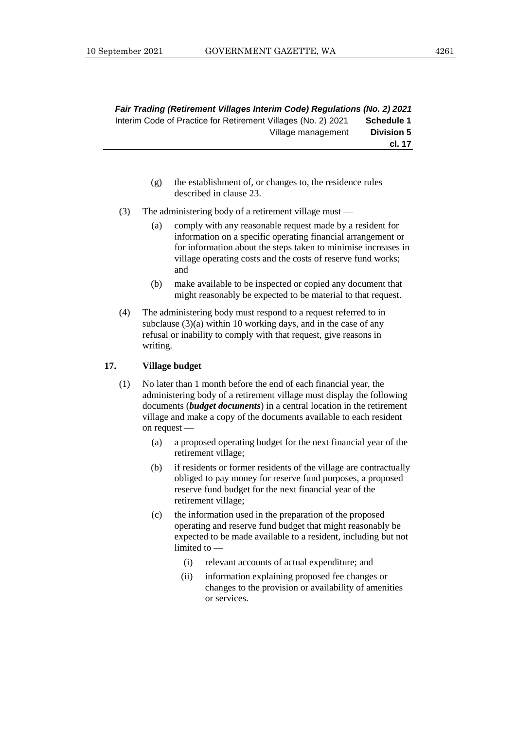- (g) the establishment of, or changes to, the residence rules described in clause 23.
- (3) The administering body of a retirement village must
	- (a) comply with any reasonable request made by a resident for information on a specific operating financial arrangement or for information about the steps taken to minimise increases in village operating costs and the costs of reserve fund works; and
	- (b) make available to be inspected or copied any document that might reasonably be expected to be material to that request.
- (4) The administering body must respond to a request referred to in subclause  $(3)(a)$  within 10 working days, and in the case of any refusal or inability to comply with that request, give reasons in writing.

#### **17. Village budget**

- (1) No later than 1 month before the end of each financial year, the administering body of a retirement village must display the following documents (*budget documents*) in a central location in the retirement village and make a copy of the documents available to each resident on request —
	- (a) a proposed operating budget for the next financial year of the retirement village;
	- (b) if residents or former residents of the village are contractually obliged to pay money for reserve fund purposes, a proposed reserve fund budget for the next financial year of the retirement village;
	- (c) the information used in the preparation of the proposed operating and reserve fund budget that might reasonably be expected to be made available to a resident, including but not limited to —
		- (i) relevant accounts of actual expenditure; and
		- (ii) information explaining proposed fee changes or changes to the provision or availability of amenities or services.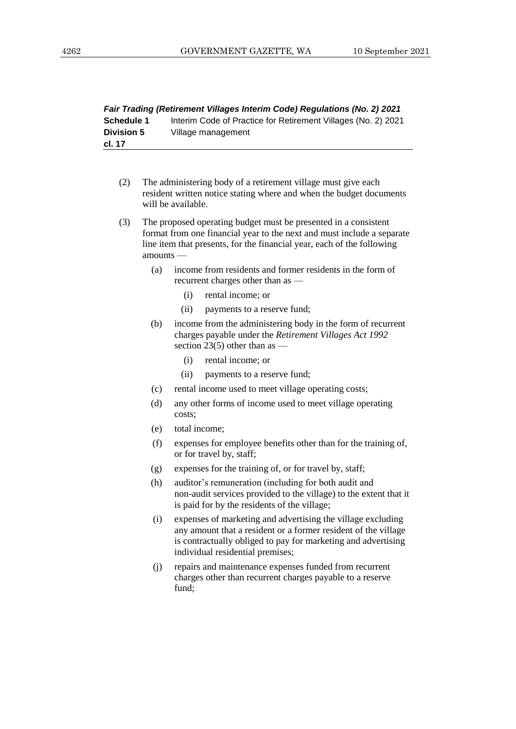| Fair Trading (Retirement Villages Interim Code) Regulations (No. 2) 2021 |                                                               |  |
|--------------------------------------------------------------------------|---------------------------------------------------------------|--|
| <b>Schedule 1</b>                                                        | Interim Code of Practice for Retirement Villages (No. 2) 2021 |  |
| <b>Division 5</b>                                                        | Village management                                            |  |
| cl. 17                                                                   |                                                               |  |

- (2) The administering body of a retirement village must give each resident written notice stating where and when the budget documents will be available.
- (3) The proposed operating budget must be presented in a consistent format from one financial year to the next and must include a separate line item that presents, for the financial year, each of the following amounts —
	- (a) income from residents and former residents in the form of recurrent charges other than as —
		- (i) rental income; or
		- (ii) payments to a reserve fund;
	- (b) income from the administering body in the form of recurrent charges payable under the *Retirement Villages Act 1992* section 23(5) other than as  $-$ 
		- (i) rental income; or
		- (ii) payments to a reserve fund;
	- (c) rental income used to meet village operating costs;
	- (d) any other forms of income used to meet village operating costs;
	- (e) total income;
	- (f) expenses for employee benefits other than for the training of, or for travel by, staff;
	- (g) expenses for the training of, or for travel by, staff;
	- (h) auditor's remuneration (including for both audit and non-audit services provided to the village) to the extent that it is paid for by the residents of the village;
	- (i) expenses of marketing and advertising the village excluding any amount that a resident or a former resident of the village is contractually obliged to pay for marketing and advertising individual residential premises;
	- (j) repairs and maintenance expenses funded from recurrent charges other than recurrent charges payable to a reserve fund;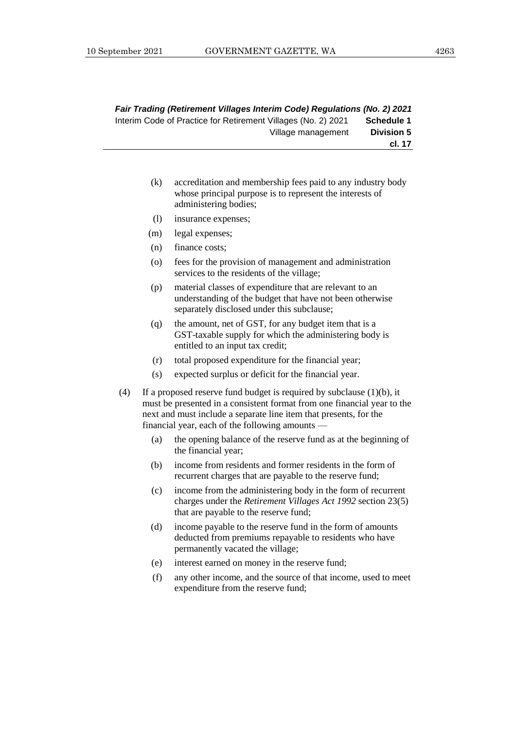- (k) accreditation and membership fees paid to any industry body whose principal purpose is to represent the interests of administering bodies;
- (l) insurance expenses;
- (m) legal expenses;
- (n) finance costs;
- (o) fees for the provision of management and administration services to the residents of the village;
- (p) material classes of expenditure that are relevant to an understanding of the budget that have not been otherwise separately disclosed under this subclause;
- (q) the amount, net of GST, for any budget item that is a GST-taxable supply for which the administering body is entitled to an input tax credit;
- (r) total proposed expenditure for the financial year;
- (s) expected surplus or deficit for the financial year.
- (4) If a proposed reserve fund budget is required by subclause (1)(b), it must be presented in a consistent format from one financial year to the next and must include a separate line item that presents, for the financial year, each of the following amounts —
	- (a) the opening balance of the reserve fund as at the beginning of the financial year;
	- (b) income from residents and former residents in the form of recurrent charges that are payable to the reserve fund;
	- (c) income from the administering body in the form of recurrent charges under the *Retirement Villages Act 1992* section 23(5) that are payable to the reserve fund;
	- (d) income payable to the reserve fund in the form of amounts deducted from premiums repayable to residents who have permanently vacated the village;
	- (e) interest earned on money in the reserve fund;
	- (f) any other income, and the source of that income, used to meet expenditure from the reserve fund;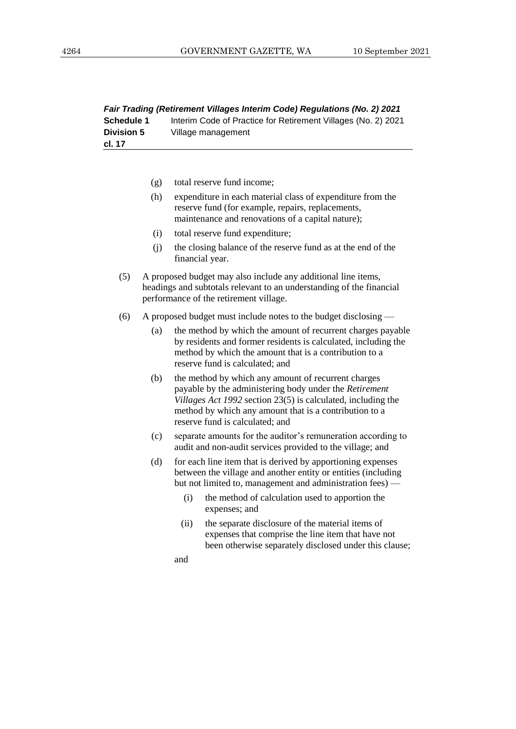| Fair Trading (Retirement Villages Interim Code) Regulations (No. 2) 2021 |                                                               |  |
|--------------------------------------------------------------------------|---------------------------------------------------------------|--|
| Schedule 1                                                               | Interim Code of Practice for Retirement Villages (No. 2) 2021 |  |
| <b>Division 5</b>                                                        | Village management                                            |  |
| cl. 17                                                                   |                                                               |  |

- (g) total reserve fund income;
- (h) expenditure in each material class of expenditure from the reserve fund (for example, repairs, replacements, maintenance and renovations of a capital nature);
- (i) total reserve fund expenditure;
- (j) the closing balance of the reserve fund as at the end of the financial year.
- (5) A proposed budget may also include any additional line items, headings and subtotals relevant to an understanding of the financial performance of the retirement village.
- (6) A proposed budget must include notes to the budget disclosing
	- (a) the method by which the amount of recurrent charges payable by residents and former residents is calculated, including the method by which the amount that is a contribution to a reserve fund is calculated; and
	- (b) the method by which any amount of recurrent charges payable by the administering body under the *Retirement Villages Act 1992* section 23(5) is calculated, including the method by which any amount that is a contribution to a reserve fund is calculated; and
	- (c) separate amounts for the auditor's remuneration according to audit and non-audit services provided to the village; and
	- (d) for each line item that is derived by apportioning expenses between the village and another entity or entities (including but not limited to, management and administration fees) -
		- (i) the method of calculation used to apportion the expenses; and
		- (ii) the separate disclosure of the material items of expenses that comprise the line item that have not been otherwise separately disclosed under this clause;
		- and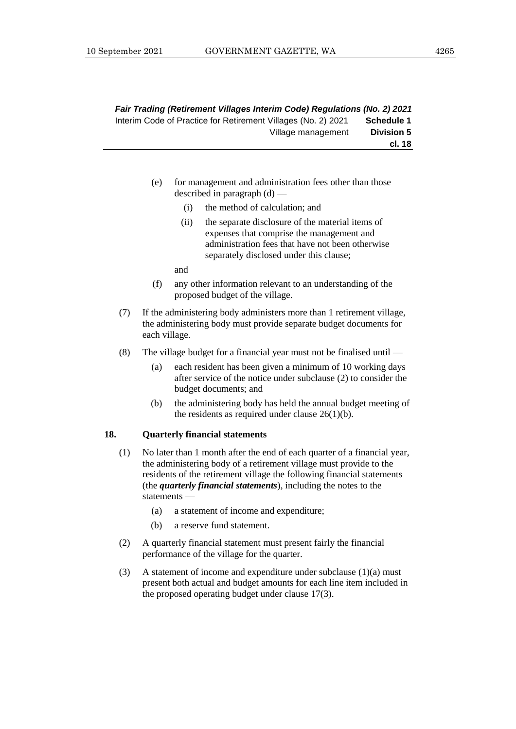- (e) for management and administration fees other than those described in paragraph (d) —
	- (i) the method of calculation; and
	- (ii) the separate disclosure of the material items of expenses that comprise the management and administration fees that have not been otherwise separately disclosed under this clause;

and

- (f) any other information relevant to an understanding of the proposed budget of the village.
- (7) If the administering body administers more than 1 retirement village, the administering body must provide separate budget documents for each village.
- (8) The village budget for a financial year must not be finalised until
	- (a) each resident has been given a minimum of 10 working days after service of the notice under subclause (2) to consider the budget documents; and
	- (b) the administering body has held the annual budget meeting of the residents as required under clause  $26(1)(b)$ .

#### **18. Quarterly financial statements**

- (1) No later than 1 month after the end of each quarter of a financial year, the administering body of a retirement village must provide to the residents of the retirement village the following financial statements (the *quarterly financial statements*), including the notes to the statements —
	- (a) a statement of income and expenditure;
	- (b) a reserve fund statement.
- (2) A quarterly financial statement must present fairly the financial performance of the village for the quarter.
- (3) A statement of income and expenditure under subclause (1)(a) must present both actual and budget amounts for each line item included in the proposed operating budget under clause 17(3).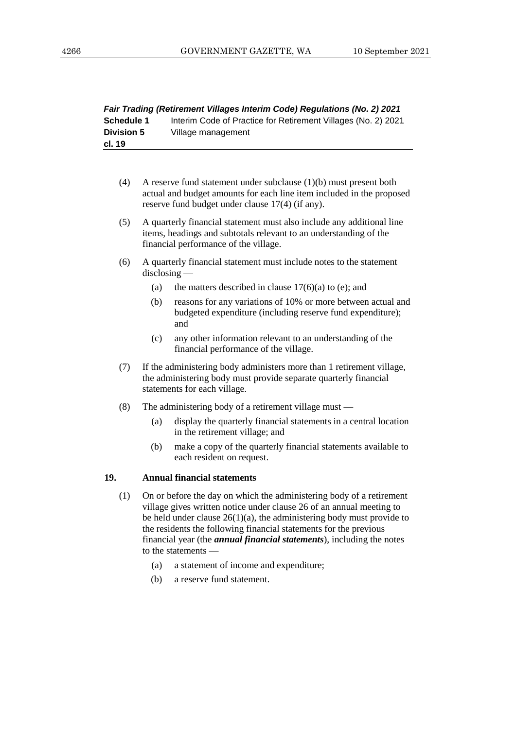| Fair Trading (Retirement Villages Interim Code) Regulations (No. 2) 2021 |                                                               |  |
|--------------------------------------------------------------------------|---------------------------------------------------------------|--|
| Schedule 1                                                               | Interim Code of Practice for Retirement Villages (No. 2) 2021 |  |
| <b>Division 5</b>                                                        | Village management                                            |  |
| cl. 19                                                                   |                                                               |  |

- (4) A reserve fund statement under subclause (1)(b) must present both actual and budget amounts for each line item included in the proposed reserve fund budget under clause 17(4) (if any).
- (5) A quarterly financial statement must also include any additional line items, headings and subtotals relevant to an understanding of the financial performance of the village.
- (6) A quarterly financial statement must include notes to the statement disclosing —
	- (a) the matters described in clause  $17(6)(a)$  to (e); and
	- (b) reasons for any variations of 10% or more between actual and budgeted expenditure (including reserve fund expenditure); and
	- (c) any other information relevant to an understanding of the financial performance of the village.
- (7) If the administering body administers more than 1 retirement village, the administering body must provide separate quarterly financial statements for each village.
- (8) The administering body of a retirement village must
	- (a) display the quarterly financial statements in a central location in the retirement village; and
	- (b) make a copy of the quarterly financial statements available to each resident on request.

## **19. Annual financial statements**

- (1) On or before the day on which the administering body of a retirement village gives written notice under clause 26 of an annual meeting to be held under clause  $26(1)(a)$ , the administering body must provide to the residents the following financial statements for the previous financial year (the *annual financial statements*), including the notes to the statements —
	- (a) a statement of income and expenditure;
	- (b) a reserve fund statement.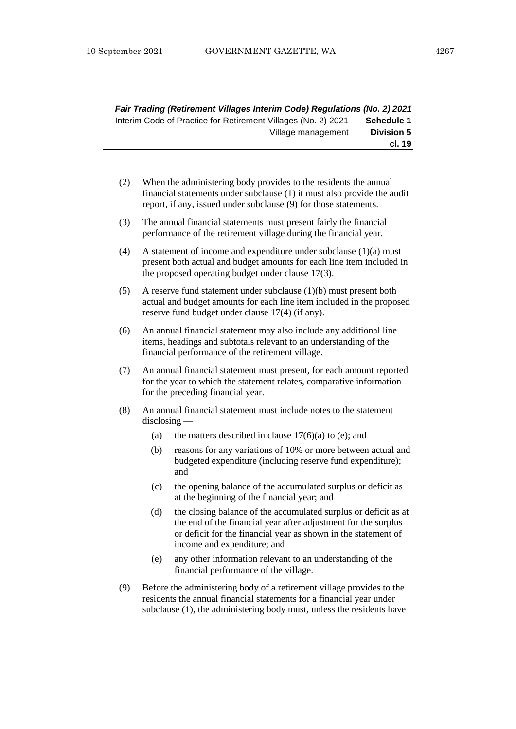- (2) When the administering body provides to the residents the annual financial statements under subclause (1) it must also provide the audit report, if any, issued under subclause (9) for those statements.
- (3) The annual financial statements must present fairly the financial performance of the retirement village during the financial year.
- (4) A statement of income and expenditure under subclause (1)(a) must present both actual and budget amounts for each line item included in the proposed operating budget under clause 17(3).
- (5) A reserve fund statement under subclause (1)(b) must present both actual and budget amounts for each line item included in the proposed reserve fund budget under clause 17(4) (if any).
- (6) An annual financial statement may also include any additional line items, headings and subtotals relevant to an understanding of the financial performance of the retirement village.
- (7) An annual financial statement must present, for each amount reported for the year to which the statement relates, comparative information for the preceding financial year.
- (8) An annual financial statement must include notes to the statement disclosing —
	- (a) the matters described in clause  $17(6)(a)$  to (e); and
	- (b) reasons for any variations of 10% or more between actual and budgeted expenditure (including reserve fund expenditure); and
	- (c) the opening balance of the accumulated surplus or deficit as at the beginning of the financial year; and
	- (d) the closing balance of the accumulated surplus or deficit as at the end of the financial year after adjustment for the surplus or deficit for the financial year as shown in the statement of income and expenditure; and
	- (e) any other information relevant to an understanding of the financial performance of the village.
- (9) Before the administering body of a retirement village provides to the residents the annual financial statements for a financial year under subclause (1), the administering body must, unless the residents have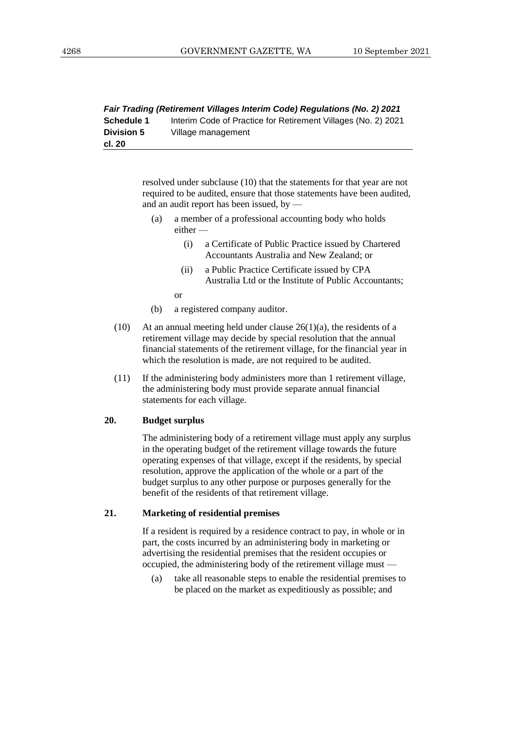| Fair Trading (Retirement Villages Interim Code) Regulations (No. 2) 2021 |                                                               |  |
|--------------------------------------------------------------------------|---------------------------------------------------------------|--|
| Schedule 1                                                               | Interim Code of Practice for Retirement Villages (No. 2) 2021 |  |
| <b>Division 5</b>                                                        | Village management                                            |  |
| cl. 20                                                                   |                                                               |  |

resolved under subclause (10) that the statements for that year are not required to be audited, ensure that those statements have been audited, and an audit report has been issued, by —

- (a) a member of a professional accounting body who holds either —
	- (i) a Certificate of Public Practice issued by Chartered Accountants Australia and New Zealand; or
	- (ii) a Public Practice Certificate issued by CPA Australia Ltd or the Institute of Public Accountants;
	- or
- (b) a registered company auditor.
- (10) At an annual meeting held under clause  $26(1)(a)$ , the residents of a retirement village may decide by special resolution that the annual financial statements of the retirement village, for the financial year in which the resolution is made, are not required to be audited.
- (11) If the administering body administers more than 1 retirement village, the administering body must provide separate annual financial statements for each village.

#### **20. Budget surplus**

The administering body of a retirement village must apply any surplus in the operating budget of the retirement village towards the future operating expenses of that village, except if the residents, by special resolution, approve the application of the whole or a part of the budget surplus to any other purpose or purposes generally for the benefit of the residents of that retirement village.

#### **21. Marketing of residential premises**

If a resident is required by a residence contract to pay, in whole or in part, the costs incurred by an administering body in marketing or advertising the residential premises that the resident occupies or occupied, the administering body of the retirement village must —

(a) take all reasonable steps to enable the residential premises to be placed on the market as expeditiously as possible; and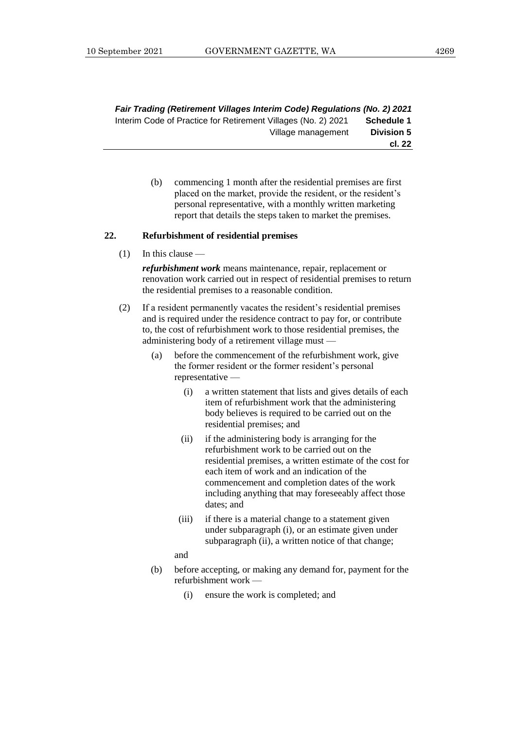> (b) commencing 1 month after the residential premises are first placed on the market, provide the resident, or the resident's personal representative, with a monthly written marketing report that details the steps taken to market the premises.

#### **22. Refurbishment of residential premises**

 $(1)$  In this clause —

*refurbishment work* means maintenance, repair, replacement or renovation work carried out in respect of residential premises to return the residential premises to a reasonable condition.

- (2) If a resident permanently vacates the resident's residential premises and is required under the residence contract to pay for, or contribute to, the cost of refurbishment work to those residential premises, the administering body of a retirement village must —
	- (a) before the commencement of the refurbishment work, give the former resident or the former resident's personal representative —
		- (i) a written statement that lists and gives details of each item of refurbishment work that the administering body believes is required to be carried out on the residential premises; and
		- (ii) if the administering body is arranging for the refurbishment work to be carried out on the residential premises, a written estimate of the cost for each item of work and an indication of the commencement and completion dates of the work including anything that may foreseeably affect those dates; and
		- (iii) if there is a material change to a statement given under subparagraph (i), or an estimate given under subparagraph (ii), a written notice of that change;

and

- (b) before accepting, or making any demand for, payment for the refurbishment work —
	- (i) ensure the work is completed; and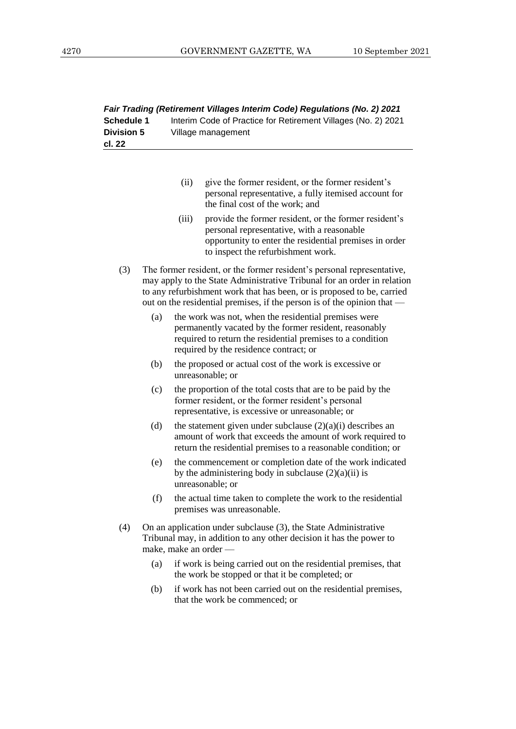| Fair Trading (Retirement Villages Interim Code) Regulations (No. 2) 2021 |     |                                                               |                                                                                                                                                                                                                                                                                                        |
|--------------------------------------------------------------------------|-----|---------------------------------------------------------------|--------------------------------------------------------------------------------------------------------------------------------------------------------------------------------------------------------------------------------------------------------------------------------------------------------|
| <b>Schedule 1</b><br><b>Division 5</b>                                   |     | Interim Code of Practice for Retirement Villages (No. 2) 2021 |                                                                                                                                                                                                                                                                                                        |
|                                                                          |     | Village management                                            |                                                                                                                                                                                                                                                                                                        |
| cl. 22                                                                   |     |                                                               |                                                                                                                                                                                                                                                                                                        |
|                                                                          |     |                                                               |                                                                                                                                                                                                                                                                                                        |
|                                                                          |     | (ii)                                                          | give the former resident, or the former resident's<br>personal representative, a fully itemised account for<br>the final cost of the work; and                                                                                                                                                         |
|                                                                          |     | (iii)                                                         | provide the former resident, or the former resident's<br>personal representative, with a reasonable<br>opportunity to enter the residential premises in order<br>to inspect the refurbishment work.                                                                                                    |
| (3)                                                                      |     |                                                               | The former resident, or the former resident's personal representative,<br>may apply to the State Administrative Tribunal for an order in relation<br>to any refurbishment work that has been, or is proposed to be, carried<br>out on the residential premises, if the person is of the opinion that — |
|                                                                          | (a) |                                                               | the work was not, when the residential premises were<br>permanently vacated by the former resident, reasonably<br>required to return the residential premises to a condition<br>required by the residence contract; or                                                                                 |
|                                                                          | (b) |                                                               | the proposed or actual cost of the work is excessive or<br>unreasonable; or                                                                                                                                                                                                                            |
|                                                                          | (c) |                                                               | the proportion of the total costs that are to be paid by the<br>former resident, or the former resident's personal<br>representative, is excessive or unreasonable; or                                                                                                                                 |
|                                                                          | (d) |                                                               | the statement given under subclause $(2)(a)(i)$ describes an<br>amount of work that exceeds the amount of work required to<br>return the residential premises to a reasonable condition; or                                                                                                            |
|                                                                          | (e) |                                                               | the commencement or completion date of the work indicated<br>by the administering body in subclause $(2)(a)(ii)$ is<br>unreasonable; or                                                                                                                                                                |
|                                                                          | (f) |                                                               | the actual time taken to complete the work to the residential<br>premises was unreasonable.                                                                                                                                                                                                            |
| (4)                                                                      |     | make, make an order -                                         | On an application under subclause (3), the State Administrative<br>Tribunal may, in addition to any other decision it has the power to                                                                                                                                                                 |
|                                                                          | (a) |                                                               | if work is being carried out on the residential premises, that<br>the work be stopped or that it be completed; or                                                                                                                                                                                      |
|                                                                          | (b) |                                                               | if work has not been carried out on the residential premises,<br>that the work be commenced; or                                                                                                                                                                                                        |
|                                                                          |     |                                                               |                                                                                                                                                                                                                                                                                                        |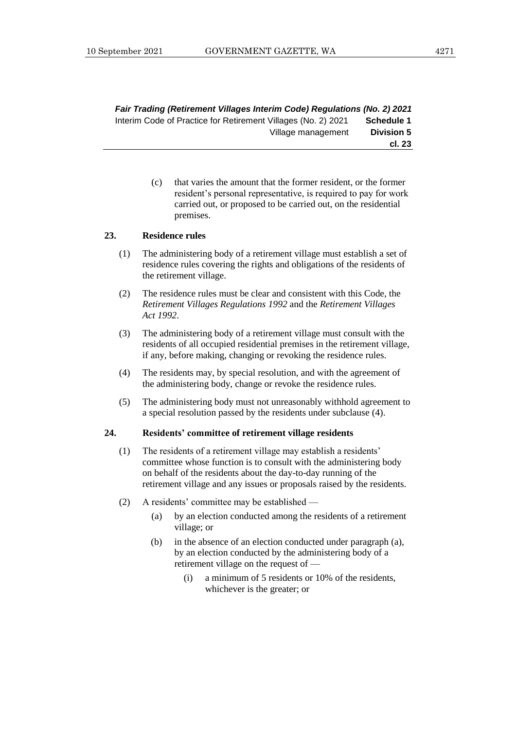> (c) that varies the amount that the former resident, or the former resident's personal representative, is required to pay for work carried out, or proposed to be carried out, on the residential premises.

#### **23. Residence rules**

- (1) The administering body of a retirement village must establish a set of residence rules covering the rights and obligations of the residents of the retirement village.
- (2) The residence rules must be clear and consistent with this Code, the *Retirement Villages Regulations 1992* and the *Retirement Villages Act 1992*.
- (3) The administering body of a retirement village must consult with the residents of all occupied residential premises in the retirement village, if any, before making, changing or revoking the residence rules.
- (4) The residents may, by special resolution, and with the agreement of the administering body, change or revoke the residence rules.
- (5) The administering body must not unreasonably withhold agreement to a special resolution passed by the residents under subclause (4).

#### **24. Residents' committee of retirement village residents**

- (1) The residents of a retirement village may establish a residents' committee whose function is to consult with the administering body on behalf of the residents about the day-to-day running of the retirement village and any issues or proposals raised by the residents.
- (2) A residents' committee may be established
	- (a) by an election conducted among the residents of a retirement village; or
	- (b) in the absence of an election conducted under paragraph (a), by an election conducted by the administering body of a retirement village on the request of —
		- (i) a minimum of 5 residents or 10% of the residents, whichever is the greater; or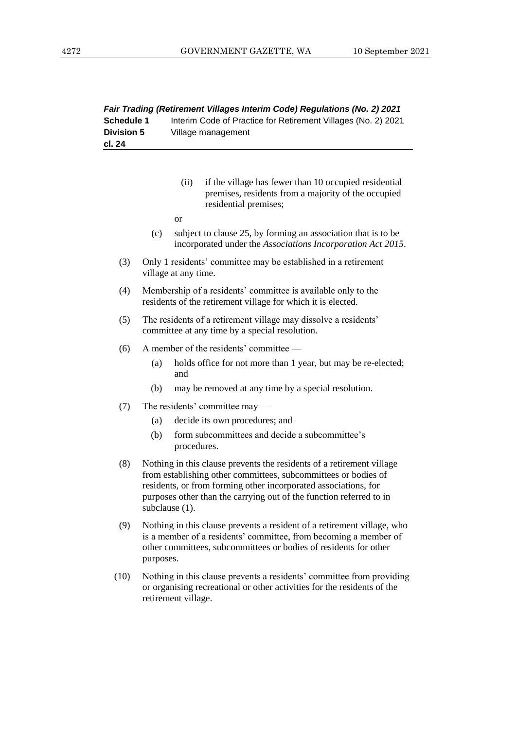| Fair Trading (Retirement Villages Interim Code) Regulations (No. 2) 2021 |                                                               |  |
|--------------------------------------------------------------------------|---------------------------------------------------------------|--|
| <b>Schedule 1</b>                                                        | Interim Code of Practice for Retirement Villages (No. 2) 2021 |  |
| <b>Division 5</b>                                                        | Village management                                            |  |
| cl. 24                                                                   |                                                               |  |

| (11) | if the village has fewer than 10 occupied residential<br>premises, residents from a majority of the occupied<br>residential premises; |
|------|---------------------------------------------------------------------------------------------------------------------------------------|
| or   |                                                                                                                                       |

- (c) subject to clause 25, by forming an association that is to be incorporated under the *Associations Incorporation Act 2015*.
- (3) Only 1 residents' committee may be established in a retirement village at any time.
- (4) Membership of a residents' committee is available only to the residents of the retirement village for which it is elected.
- (5) The residents of a retirement village may dissolve a residents' committee at any time by a special resolution.
- (6) A member of the residents' committee
	- (a) holds office for not more than 1 year, but may be re-elected; and
	- (b) may be removed at any time by a special resolution.
- (7) The residents' committee may
	- (a) decide its own procedures; and
	- (b) form subcommittees and decide a subcommittee's procedures.
- (8) Nothing in this clause prevents the residents of a retirement village from establishing other committees, subcommittees or bodies of residents, or from forming other incorporated associations, for purposes other than the carrying out of the function referred to in subclause (1).
- (9) Nothing in this clause prevents a resident of a retirement village, who is a member of a residents' committee, from becoming a member of other committees, subcommittees or bodies of residents for other purposes.
- (10) Nothing in this clause prevents a residents' committee from providing or organising recreational or other activities for the residents of the retirement village.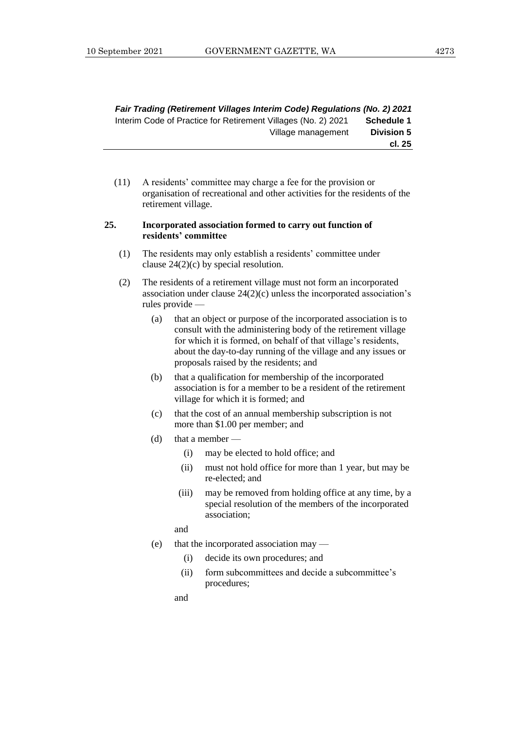(11) A residents' committee may charge a fee for the provision or organisation of recreational and other activities for the residents of the retirement village.

#### **25. Incorporated association formed to carry out function of residents' committee**

- (1) The residents may only establish a residents' committee under clause 24(2)(c) by special resolution.
- (2) The residents of a retirement village must not form an incorporated association under clause  $24(2)(c)$  unless the incorporated association's rules provide —
	- (a) that an object or purpose of the incorporated association is to consult with the administering body of the retirement village for which it is formed, on behalf of that village's residents, about the day-to-day running of the village and any issues or proposals raised by the residents; and
	- (b) that a qualification for membership of the incorporated association is for a member to be a resident of the retirement village for which it is formed; and
	- (c) that the cost of an annual membership subscription is not more than \$1.00 per member; and
	- (d) that a member  $-$ 
		- (i) may be elected to hold office; and
		- (ii) must not hold office for more than 1 year, but may be re-elected; and
		- (iii) may be removed from holding office at any time, by a special resolution of the members of the incorporated association;

and

- (e) that the incorporated association may
	- (i) decide its own procedures; and
	- (ii) form subcommittees and decide a subcommittee's procedures;

and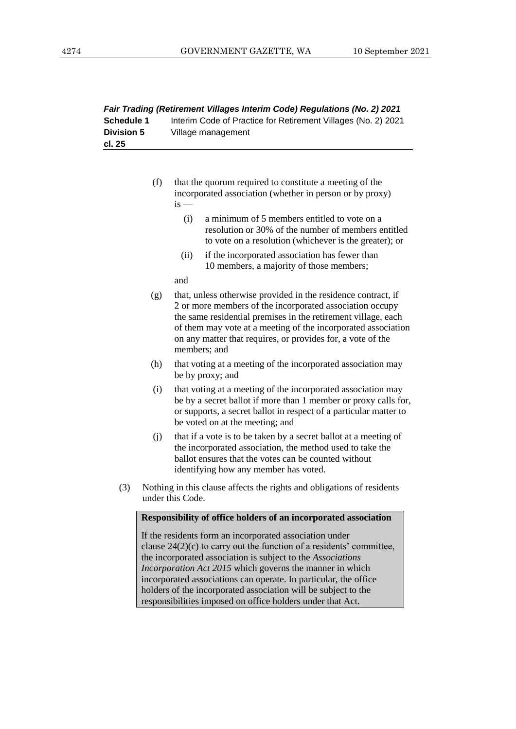| Fair Trading (Retirement Villages Interim Code) Regulations (No. 2) 2021 |                                                               |  |
|--------------------------------------------------------------------------|---------------------------------------------------------------|--|
| Schedule 1                                                               | Interim Code of Practice for Retirement Villages (No. 2) 2021 |  |
| <b>Division 5</b>                                                        | Village management                                            |  |
| cl. 25                                                                   |                                                               |  |

| (f) | that the quorum required to constitute a meeting of the  |
|-----|----------------------------------------------------------|
|     | incorporated association (whether in person or by proxy) |
|     | $1S \rightarrow$                                         |

- (i) a minimum of 5 members entitled to vote on a resolution or 30% of the number of members entitled to vote on a resolution (whichever is the greater); or
- (ii) if the incorporated association has fewer than 10 members, a majority of those members;

and

- (g) that, unless otherwise provided in the residence contract, if 2 or more members of the incorporated association occupy the same residential premises in the retirement village, each of them may vote at a meeting of the incorporated association on any matter that requires, or provides for, a vote of the members; and
- (h) that voting at a meeting of the incorporated association may be by proxy; and
- (i) that voting at a meeting of the incorporated association may be by a secret ballot if more than 1 member or proxy calls for, or supports, a secret ballot in respect of a particular matter to be voted on at the meeting; and
- (j) that if a vote is to be taken by a secret ballot at a meeting of the incorporated association, the method used to take the ballot ensures that the votes can be counted without identifying how any member has voted.
- (3) Nothing in this clause affects the rights and obligations of residents under this Code.

## **Responsibility of office holders of an incorporated association**

If the residents form an incorporated association under clause 24(2)(c) to carry out the function of a residents' committee, the incorporated association is subject to the *Associations Incorporation Act 2015* which governs the manner in which incorporated associations can operate. In particular, the office holders of the incorporated association will be subject to the responsibilities imposed on office holders under that Act.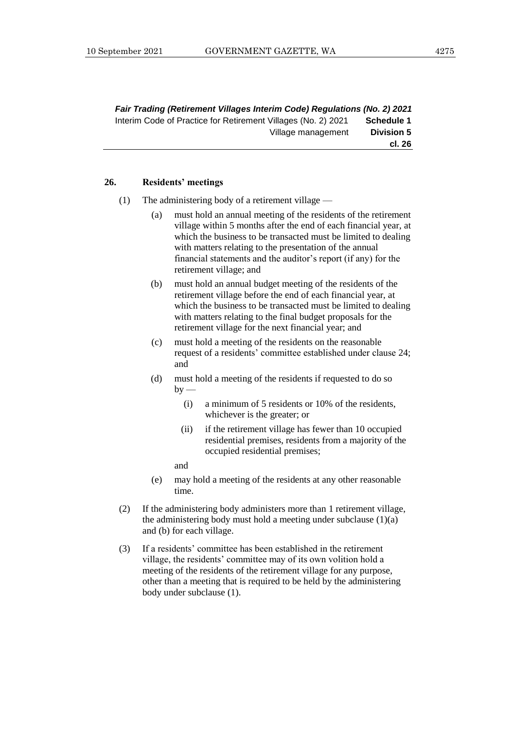#### **26. Residents' meetings**

- (1) The administering body of a retirement village
	- (a) must hold an annual meeting of the residents of the retirement village within 5 months after the end of each financial year, at which the business to be transacted must be limited to dealing with matters relating to the presentation of the annual financial statements and the auditor's report (if any) for the retirement village; and
	- (b) must hold an annual budget meeting of the residents of the retirement village before the end of each financial year, at which the business to be transacted must be limited to dealing with matters relating to the final budget proposals for the retirement village for the next financial year; and
	- (c) must hold a meeting of the residents on the reasonable request of a residents' committee established under clause 24; and
	- (d) must hold a meeting of the residents if requested to do so  $by$  —
		- (i) a minimum of 5 residents or 10% of the residents, whichever is the greater; or
		- (ii) if the retirement village has fewer than 10 occupied residential premises, residents from a majority of the occupied residential premises;

and

- (e) may hold a meeting of the residents at any other reasonable time.
- (2) If the administering body administers more than 1 retirement village, the administering body must hold a meeting under subclause  $(1)(a)$ and (b) for each village.
- (3) If a residents' committee has been established in the retirement village, the residents' committee may of its own volition hold a meeting of the residents of the retirement village for any purpose, other than a meeting that is required to be held by the administering body under subclause (1).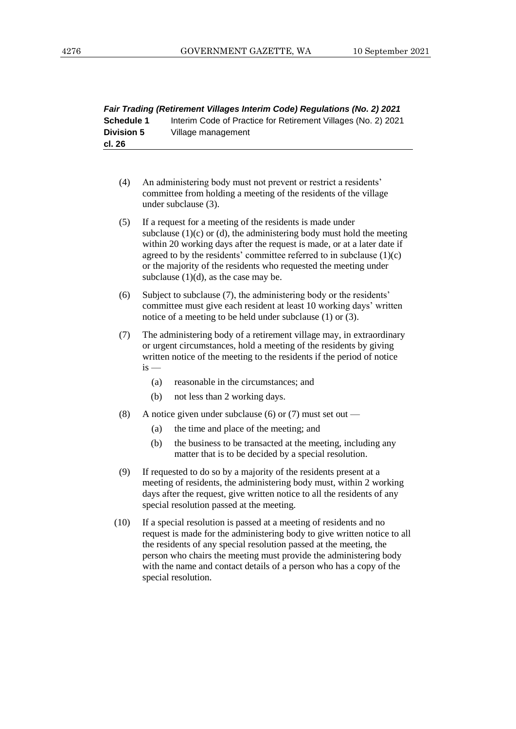| Fair Trading (Retirement Villages Interim Code) Regulations (No. 2) 2021 |                                                               |  |
|--------------------------------------------------------------------------|---------------------------------------------------------------|--|
| Schedule 1                                                               | Interim Code of Practice for Retirement Villages (No. 2) 2021 |  |
| <b>Division 5</b>                                                        | Village management                                            |  |
| cl. 26                                                                   |                                                               |  |

- (4) An administering body must not prevent or restrict a residents' committee from holding a meeting of the residents of the village under subclause (3).
- (5) If a request for a meeting of the residents is made under subclause  $(1)(c)$  or  $(d)$ , the administering body must hold the meeting within 20 working days after the request is made, or at a later date if agreed to by the residents' committee referred to in subclause  $(1)(c)$ or the majority of the residents who requested the meeting under subclause  $(1)(d)$ , as the case may be.
- (6) Subject to subclause (7), the administering body or the residents' committee must give each resident at least 10 working days' written notice of a meeting to be held under subclause (1) or (3).
- (7) The administering body of a retirement village may, in extraordinary or urgent circumstances, hold a meeting of the residents by giving written notice of the meeting to the residents if the period of notice  $is$  —
	- (a) reasonable in the circumstances; and
	- (b) not less than 2 working days.
- (8) A notice given under subclause (6) or (7) must set out
	- (a) the time and place of the meeting; and
	- (b) the business to be transacted at the meeting, including any matter that is to be decided by a special resolution.
- (9) If requested to do so by a majority of the residents present at a meeting of residents, the administering body must, within 2 working days after the request, give written notice to all the residents of any special resolution passed at the meeting.
- (10) If a special resolution is passed at a meeting of residents and no request is made for the administering body to give written notice to all the residents of any special resolution passed at the meeting, the person who chairs the meeting must provide the administering body with the name and contact details of a person who has a copy of the special resolution.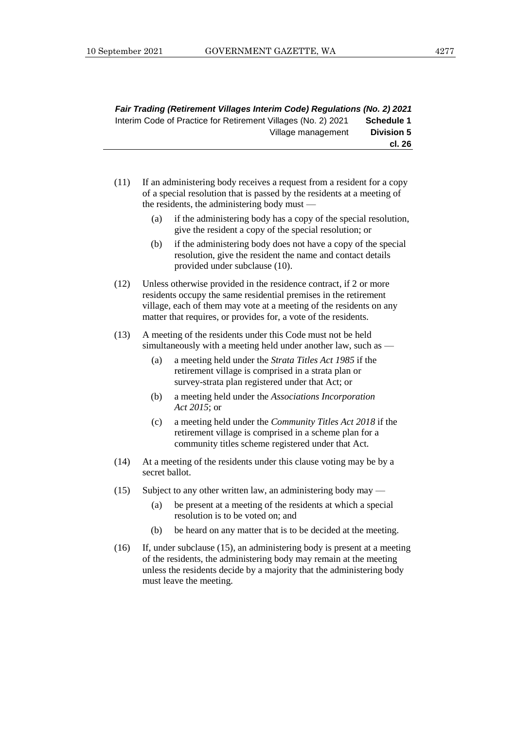- (11) If an administering body receives a request from a resident for a copy of a special resolution that is passed by the residents at a meeting of the residents, the administering body must —
	- (a) if the administering body has a copy of the special resolution, give the resident a copy of the special resolution; or
	- (b) if the administering body does not have a copy of the special resolution, give the resident the name and contact details provided under subclause (10).
- (12) Unless otherwise provided in the residence contract, if 2 or more residents occupy the same residential premises in the retirement village, each of them may vote at a meeting of the residents on any matter that requires, or provides for, a vote of the residents.
- (13) A meeting of the residents under this Code must not be held simultaneously with a meeting held under another law, such as —
	- (a) a meeting held under the *Strata Titles Act 1985* if the retirement village is comprised in a strata plan or survey-strata plan registered under that Act; or
	- (b) a meeting held under the *Associations Incorporation Act 2015*; or
	- (c) a meeting held under the *Community Titles Act 2018* if the retirement village is comprised in a scheme plan for a community titles scheme registered under that Act.
- (14) At a meeting of the residents under this clause voting may be by a secret ballot.
- (15) Subject to any other written law, an administering body may
	- (a) be present at a meeting of the residents at which a special resolution is to be voted on; and
	- (b) be heard on any matter that is to be decided at the meeting.
- (16) If, under subclause (15), an administering body is present at a meeting of the residents, the administering body may remain at the meeting unless the residents decide by a majority that the administering body must leave the meeting.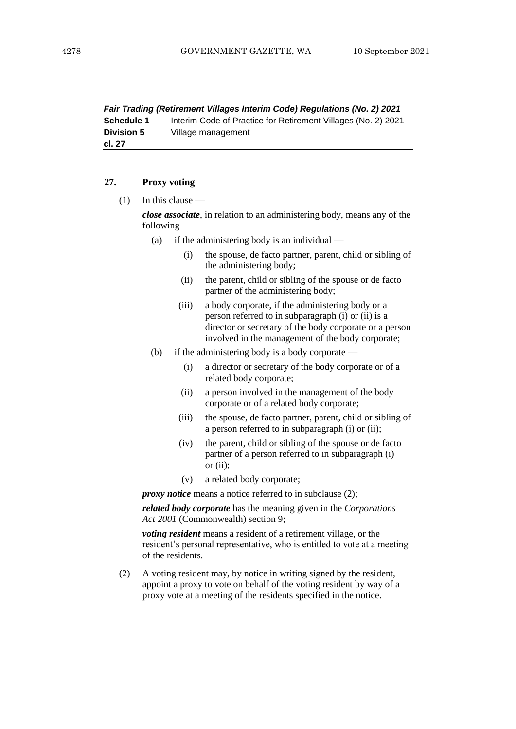*Fair Trading (Retirement Villages Interim Code) Regulations (No. 2) 2021* **Schedule 1** Interim Code of Practice for Retirement Villages (No. 2) 2021 **Division 5** Village management **cl. 27**

#### **27. Proxy voting**

(1) In this clause —

*close associate*, in relation to an administering body, means any of the following —

- (a) if the administering body is an individual
	- (i) the spouse, de facto partner, parent, child or sibling of the administering body;
	- (ii) the parent, child or sibling of the spouse or de facto partner of the administering body;
	- (iii) a body corporate, if the administering body or a person referred to in subparagraph (i) or (ii) is a director or secretary of the body corporate or a person involved in the management of the body corporate;
- (b) if the administering body is a body corporate
	- (i) a director or secretary of the body corporate or of a related body corporate;
	- (ii) a person involved in the management of the body corporate or of a related body corporate;
	- (iii) the spouse, de facto partner, parent, child or sibling of a person referred to in subparagraph (i) or (ii);
	- (iv) the parent, child or sibling of the spouse or de facto partner of a person referred to in subparagraph (i) or  $(ii)$ ;
	- (v) a related body corporate;

*proxy notice* means a notice referred to in subclause (2);

*related body corporate* has the meaning given in the *Corporations Act 2001* (Commonwealth) section 9;

*voting resident* means a resident of a retirement village, or the resident's personal representative, who is entitled to vote at a meeting of the residents.

(2) A voting resident may, by notice in writing signed by the resident, appoint a proxy to vote on behalf of the voting resident by way of a proxy vote at a meeting of the residents specified in the notice.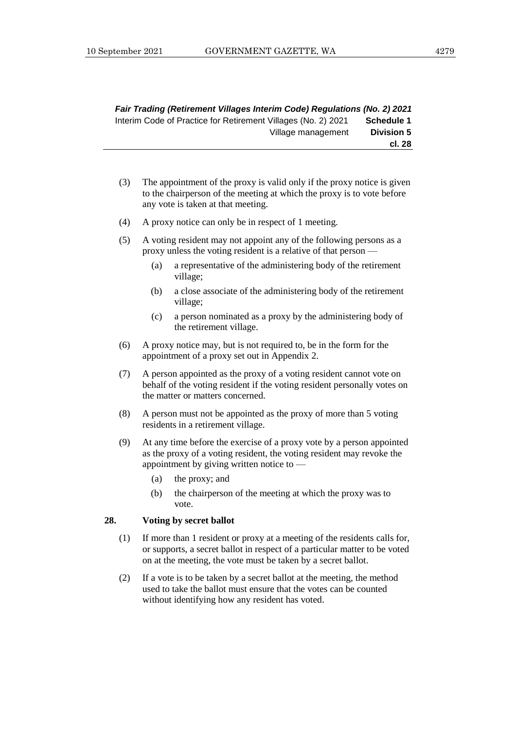- (3) The appointment of the proxy is valid only if the proxy notice is given to the chairperson of the meeting at which the proxy is to vote before any vote is taken at that meeting.
- (4) A proxy notice can only be in respect of 1 meeting.
- (5) A voting resident may not appoint any of the following persons as a proxy unless the voting resident is a relative of that person —
	- (a) a representative of the administering body of the retirement village;
	- (b) a close associate of the administering body of the retirement village;
	- (c) a person nominated as a proxy by the administering body of the retirement village.
- (6) A proxy notice may, but is not required to, be in the form for the appointment of a proxy set out in Appendix 2.
- (7) A person appointed as the proxy of a voting resident cannot vote on behalf of the voting resident if the voting resident personally votes on the matter or matters concerned.
- (8) A person must not be appointed as the proxy of more than 5 voting residents in a retirement village.
- (9) At any time before the exercise of a proxy vote by a person appointed as the proxy of a voting resident, the voting resident may revoke the appointment by giving written notice to —
	- (a) the proxy; and
	- (b) the chairperson of the meeting at which the proxy was to vote.

#### **28. Voting by secret ballot**

- (1) If more than 1 resident or proxy at a meeting of the residents calls for, or supports, a secret ballot in respect of a particular matter to be voted on at the meeting, the vote must be taken by a secret ballot.
- (2) If a vote is to be taken by a secret ballot at the meeting, the method used to take the ballot must ensure that the votes can be counted without identifying how any resident has voted.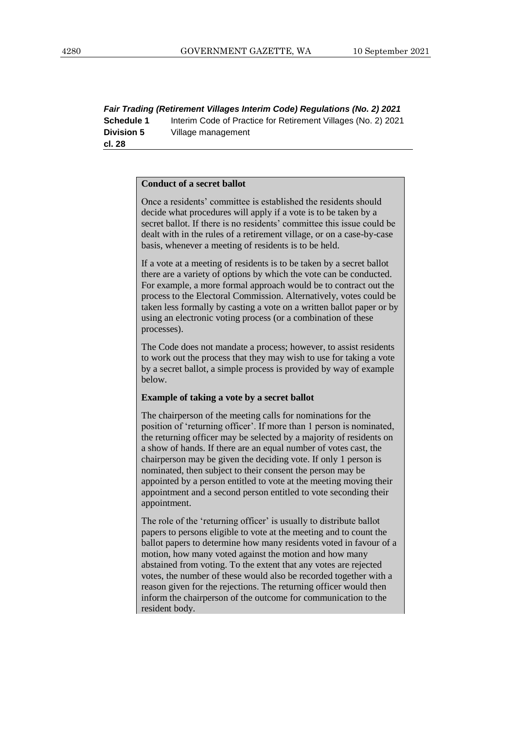*Fair Trading (Retirement Villages Interim Code) Regulations (No. 2) 2021* **Schedule 1** Interim Code of Practice for Retirement Villages (No. 2) 2021 **Division 5** Village management **cl. 28**

#### **Conduct of a secret ballot**

Once a residents' committee is established the residents should decide what procedures will apply if a vote is to be taken by a secret ballot. If there is no residents' committee this issue could be dealt with in the rules of a retirement village, or on a case-by-case basis, whenever a meeting of residents is to be held.

If a vote at a meeting of residents is to be taken by a secret ballot there are a variety of options by which the vote can be conducted. For example, a more formal approach would be to contract out the process to the Electoral Commission. Alternatively, votes could be taken less formally by casting a vote on a written ballot paper or by using an electronic voting process (or a combination of these processes).

The Code does not mandate a process; however, to assist residents to work out the process that they may wish to use for taking a vote by a secret ballot, a simple process is provided by way of example below.

#### **Example of taking a vote by a secret ballot**

The chairperson of the meeting calls for nominations for the position of 'returning officer'. If more than 1 person is nominated, the returning officer may be selected by a majority of residents on a show of hands. If there are an equal number of votes cast, the chairperson may be given the deciding vote. If only 1 person is nominated, then subject to their consent the person may be appointed by a person entitled to vote at the meeting moving their appointment and a second person entitled to vote seconding their appointment.

The role of the 'returning officer' is usually to distribute ballot papers to persons eligible to vote at the meeting and to count the ballot papers to determine how many residents voted in favour of a motion, how many voted against the motion and how many abstained from voting. To the extent that any votes are rejected votes, the number of these would also be recorded together with a reason given for the rejections. The returning officer would then inform the chairperson of the outcome for communication to the resident body.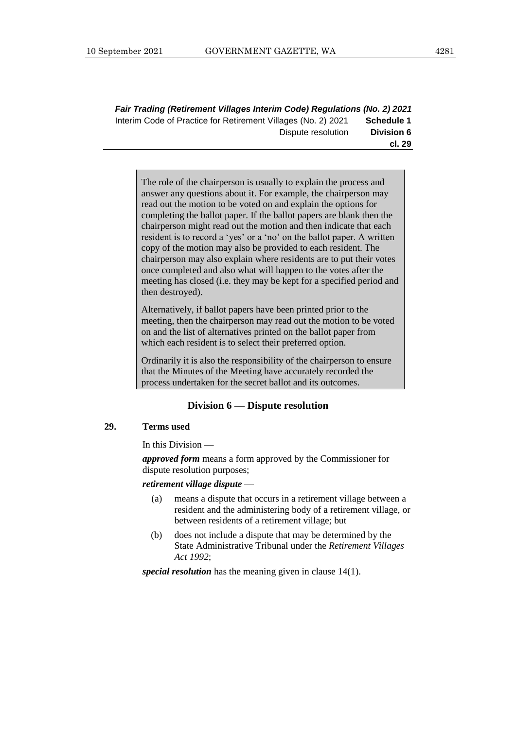The role of the chairperson is usually to explain the process and answer any questions about it. For example, the chairperson may read out the motion to be voted on and explain the options for completing the ballot paper. If the ballot papers are blank then the chairperson might read out the motion and then indicate that each resident is to record a 'yes' or a 'no' on the ballot paper. A written copy of the motion may also be provided to each resident. The chairperson may also explain where residents are to put their votes once completed and also what will happen to the votes after the meeting has closed (i.e. they may be kept for a specified period and then destroyed).

Alternatively, if ballot papers have been printed prior to the meeting, then the chairperson may read out the motion to be voted on and the list of alternatives printed on the ballot paper from which each resident is to select their preferred option.

Ordinarily it is also the responsibility of the chairperson to ensure that the Minutes of the Meeting have accurately recorded the process undertaken for the secret ballot and its outcomes.

## **Division 6 — Dispute resolution**

#### **29. Terms used**

In this Division —

*approved form* means a form approved by the Commissioner for dispute resolution purposes;

*retirement village dispute* —

- (a) means a dispute that occurs in a retirement village between a resident and the administering body of a retirement village, or between residents of a retirement village; but
- (b) does not include a dispute that may be determined by the State Administrative Tribunal under the *Retirement Villages Act 1992*;

*special resolution* has the meaning given in clause 14(1).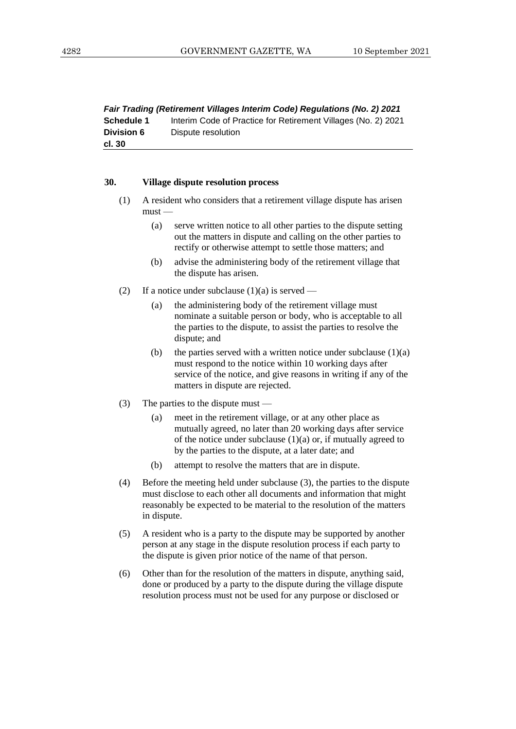*Fair Trading (Retirement Villages Interim Code) Regulations (No. 2) 2021* **Schedule 1** Interim Code of Practice for Retirement Villages (No. 2) 2021 **Division 6** Dispute resolution **cl. 30**

#### **30. Village dispute resolution process**

- (1) A resident who considers that a retirement village dispute has arisen  $must -$ 
	- (a) serve written notice to all other parties to the dispute setting out the matters in dispute and calling on the other parties to rectify or otherwise attempt to settle those matters; and
	- (b) advise the administering body of the retirement village that the dispute has arisen.
- (2) If a notice under subclause  $(1)(a)$  is served
	- (a) the administering body of the retirement village must nominate a suitable person or body, who is acceptable to all the parties to the dispute, to assist the parties to resolve the dispute; and
	- (b) the parties served with a written notice under subclause  $(1)(a)$ must respond to the notice within 10 working days after service of the notice, and give reasons in writing if any of the matters in dispute are rejected.
- (3) The parties to the dispute must
	- (a) meet in the retirement village, or at any other place as mutually agreed, no later than 20 working days after service of the notice under subclause  $(1)(a)$  or, if mutually agreed to by the parties to the dispute, at a later date; and
	- (b) attempt to resolve the matters that are in dispute.
- (4) Before the meeting held under subclause (3), the parties to the dispute must disclose to each other all documents and information that might reasonably be expected to be material to the resolution of the matters in dispute.
- (5) A resident who is a party to the dispute may be supported by another person at any stage in the dispute resolution process if each party to the dispute is given prior notice of the name of that person.
- (6) Other than for the resolution of the matters in dispute, anything said, done or produced by a party to the dispute during the village dispute resolution process must not be used for any purpose or disclosed or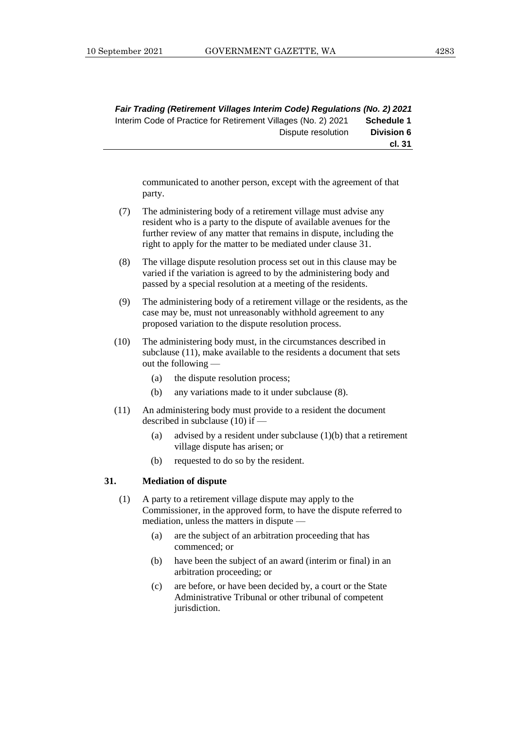communicated to another person, except with the agreement of that party.

- (7) The administering body of a retirement village must advise any resident who is a party to the dispute of available avenues for the further review of any matter that remains in dispute, including the right to apply for the matter to be mediated under clause 31.
- (8) The village dispute resolution process set out in this clause may be varied if the variation is agreed to by the administering body and passed by a special resolution at a meeting of the residents.
- (9) The administering body of a retirement village or the residents, as the case may be, must not unreasonably withhold agreement to any proposed variation to the dispute resolution process.
- (10) The administering body must, in the circumstances described in subclause (11), make available to the residents a document that sets out the following —
	- (a) the dispute resolution process;
	- (b) any variations made to it under subclause (8).
- (11) An administering body must provide to a resident the document described in subclause (10) if —
	- (a) advised by a resident under subclause (1)(b) that a retirement village dispute has arisen; or
	- (b) requested to do so by the resident.

#### **31. Mediation of dispute**

- (1) A party to a retirement village dispute may apply to the Commissioner, in the approved form, to have the dispute referred to mediation, unless the matters in dispute —
	- (a) are the subject of an arbitration proceeding that has commenced; or
	- (b) have been the subject of an award (interim or final) in an arbitration proceeding; or
	- (c) are before, or have been decided by, a court or the State Administrative Tribunal or other tribunal of competent jurisdiction.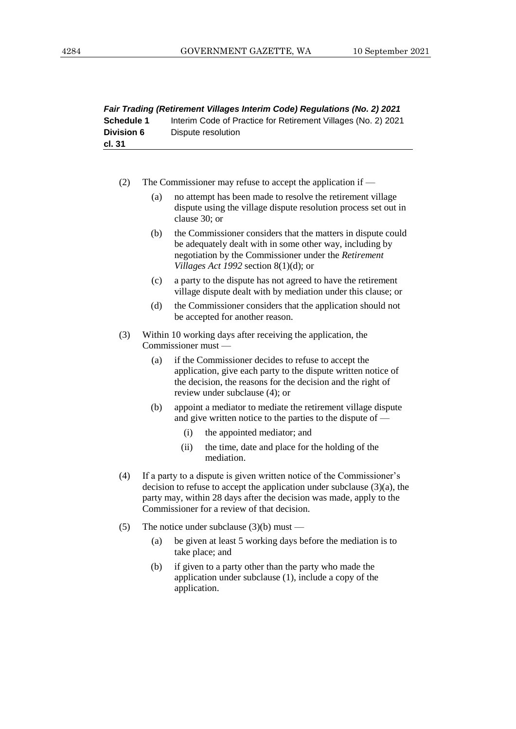| Fair Trading (Retirement Villages Interim Code) Regulations (No. 2) 2021 |                                                               |  |
|--------------------------------------------------------------------------|---------------------------------------------------------------|--|
| Schedule 1                                                               | Interim Code of Practice for Retirement Villages (No. 2) 2021 |  |
| <b>Division 6</b>                                                        | Dispute resolution                                            |  |
| cl. 31                                                                   |                                                               |  |

- (2) The Commissioner may refuse to accept the application if
	- (a) no attempt has been made to resolve the retirement village dispute using the village dispute resolution process set out in clause 30; or
	- (b) the Commissioner considers that the matters in dispute could be adequately dealt with in some other way, including by negotiation by the Commissioner under the *Retirement Villages Act 1992* section 8(1)(d); or
	- (c) a party to the dispute has not agreed to have the retirement village dispute dealt with by mediation under this clause; or
	- (d) the Commissioner considers that the application should not be accepted for another reason.
- (3) Within 10 working days after receiving the application, the Commissioner must —
	- (a) if the Commissioner decides to refuse to accept the application, give each party to the dispute written notice of the decision, the reasons for the decision and the right of review under subclause (4); or
	- (b) appoint a mediator to mediate the retirement village dispute and give written notice to the parties to the dispute of —
		- (i) the appointed mediator; and
		- (ii) the time, date and place for the holding of the mediation.
- (4) If a party to a dispute is given written notice of the Commissioner's decision to refuse to accept the application under subclause (3)(a), the party may, within 28 days after the decision was made, apply to the Commissioner for a review of that decision.
- (5) The notice under subclause  $(3)(b)$  must
	- (a) be given at least 5 working days before the mediation is to take place; and
	- (b) if given to a party other than the party who made the application under subclause (1), include a copy of the application.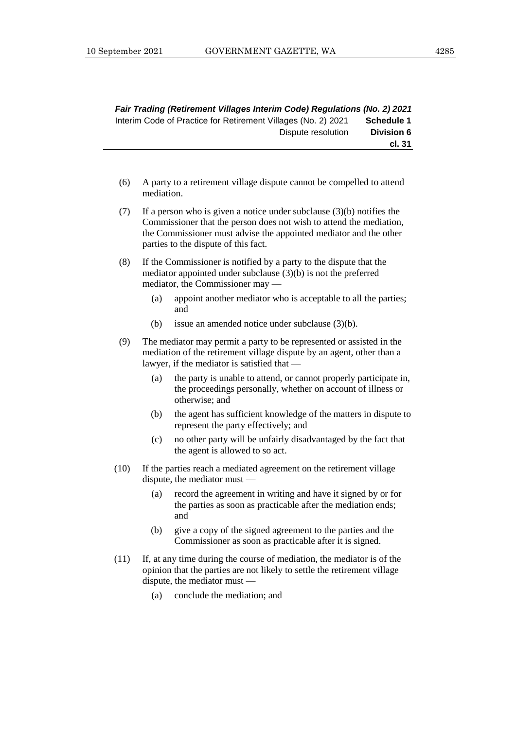- (6) A party to a retirement village dispute cannot be compelled to attend mediation.
- (7) If a person who is given a notice under subclause (3)(b) notifies the Commissioner that the person does not wish to attend the mediation, the Commissioner must advise the appointed mediator and the other parties to the dispute of this fact.
- (8) If the Commissioner is notified by a party to the dispute that the mediator appointed under subclause (3)(b) is not the preferred mediator, the Commissioner may —
	- (a) appoint another mediator who is acceptable to all the parties; and
	- (b) issue an amended notice under subclause (3)(b).
- (9) The mediator may permit a party to be represented or assisted in the mediation of the retirement village dispute by an agent, other than a lawyer, if the mediator is satisfied that —
	- (a) the party is unable to attend, or cannot properly participate in, the proceedings personally, whether on account of illness or otherwise; and
	- (b) the agent has sufficient knowledge of the matters in dispute to represent the party effectively; and
	- (c) no other party will be unfairly disadvantaged by the fact that the agent is allowed to so act.
- (10) If the parties reach a mediated agreement on the retirement village dispute, the mediator must —
	- (a) record the agreement in writing and have it signed by or for the parties as soon as practicable after the mediation ends; and
	- (b) give a copy of the signed agreement to the parties and the Commissioner as soon as practicable after it is signed.
- (11) If, at any time during the course of mediation, the mediator is of the opinion that the parties are not likely to settle the retirement village dispute, the mediator must —
	- (a) conclude the mediation; and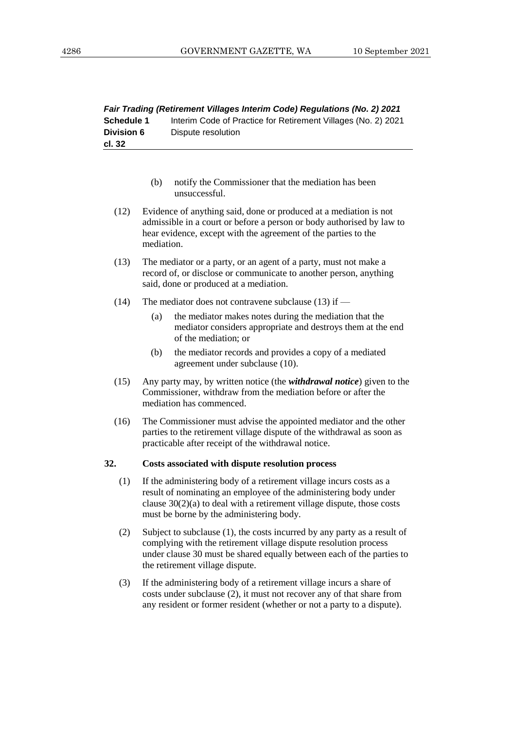| Fair Trading (Retirement Villages Interim Code) Regulations (No. 2) 2021 |                                                               |  |
|--------------------------------------------------------------------------|---------------------------------------------------------------|--|
| Schedule 1                                                               | Interim Code of Practice for Retirement Villages (No. 2) 2021 |  |
| <b>Division 6</b>                                                        | Dispute resolution                                            |  |
| cl. 32                                                                   |                                                               |  |

- (b) notify the Commissioner that the mediation has been unsuccessful.
- (12) Evidence of anything said, done or produced at a mediation is not admissible in a court or before a person or body authorised by law to hear evidence, except with the agreement of the parties to the mediation.
- (13) The mediator or a party, or an agent of a party, must not make a record of, or disclose or communicate to another person, anything said, done or produced at a mediation.
- (14) The mediator does not contravene subclause (13) if
	- (a) the mediator makes notes during the mediation that the mediator considers appropriate and destroys them at the end of the mediation; or
	- (b) the mediator records and provides a copy of a mediated agreement under subclause (10).
- (15) Any party may, by written notice (the *withdrawal notice*) given to the Commissioner, withdraw from the mediation before or after the mediation has commenced.
- (16) The Commissioner must advise the appointed mediator and the other parties to the retirement village dispute of the withdrawal as soon as practicable after receipt of the withdrawal notice.

#### **32. Costs associated with dispute resolution process**

- (1) If the administering body of a retirement village incurs costs as a result of nominating an employee of the administering body under clause 30(2)(a) to deal with a retirement village dispute, those costs must be borne by the administering body.
- (2) Subject to subclause (1), the costs incurred by any party as a result of complying with the retirement village dispute resolution process under clause 30 must be shared equally between each of the parties to the retirement village dispute.
- (3) If the administering body of a retirement village incurs a share of costs under subclause (2), it must not recover any of that share from any resident or former resident (whether or not a party to a dispute).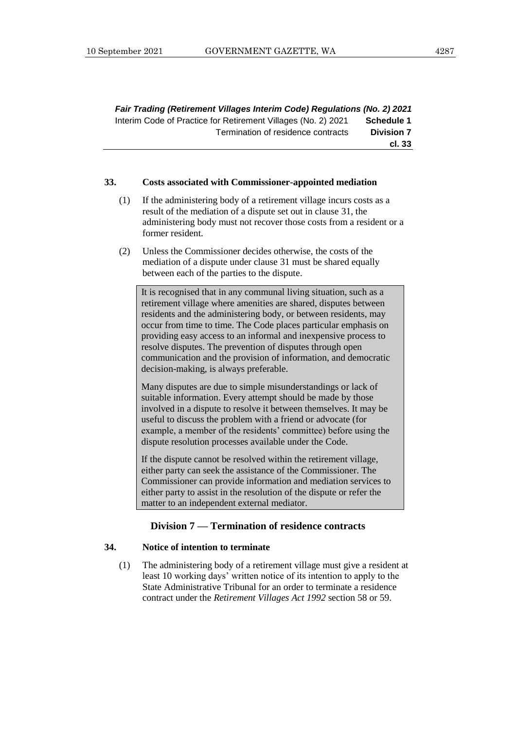*Fair Trading (Retirement Villages Interim Code) Regulations (No. 2) 2021* Interim Code of Practice for Retirement Villages (No. 2) 2021 **Schedule 1** Termination of residence contracts **Division 7 cl. 33**

#### **33. Costs associated with Commissioner-appointed mediation**

- (1) If the administering body of a retirement village incurs costs as a result of the mediation of a dispute set out in clause 31, the administering body must not recover those costs from a resident or a former resident.
- (2) Unless the Commissioner decides otherwise, the costs of the mediation of a dispute under clause 31 must be shared equally between each of the parties to the dispute.

It is recognised that in any communal living situation, such as a retirement village where amenities are shared, disputes between residents and the administering body, or between residents, may occur from time to time. The Code places particular emphasis on providing easy access to an informal and inexpensive process to resolve disputes. The prevention of disputes through open communication and the provision of information, and democratic decision-making, is always preferable.

Many disputes are due to simple misunderstandings or lack of suitable information. Every attempt should be made by those involved in a dispute to resolve it between themselves. It may be useful to discuss the problem with a friend or advocate (for example, a member of the residents' committee) before using the dispute resolution processes available under the Code.

If the dispute cannot be resolved within the retirement village, either party can seek the assistance of the Commissioner. The Commissioner can provide information and mediation services to either party to assist in the resolution of the dispute or refer the matter to an independent external mediator.

## **Division 7 — Termination of residence contracts**

#### **34. Notice of intention to terminate**

(1) The administering body of a retirement village must give a resident at least 10 working days' written notice of its intention to apply to the State Administrative Tribunal for an order to terminate a residence contract under the *Retirement Villages Act 1992* section 58 or 59.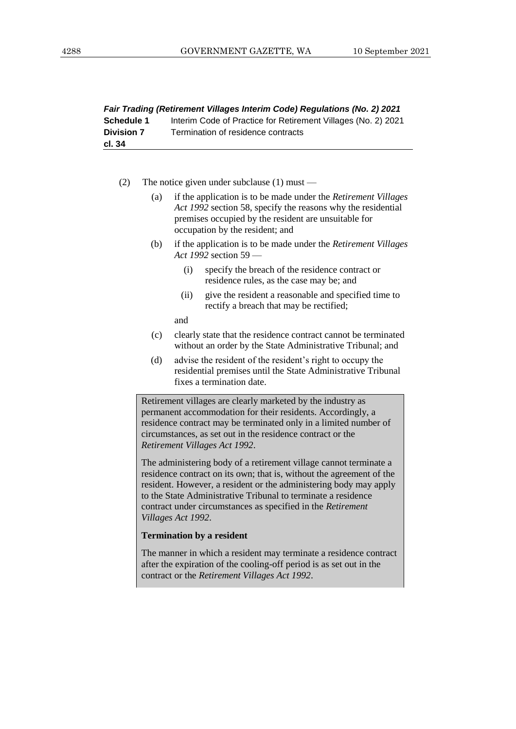| Fair Trading (Retirement Villages Interim Code) Regulations (No. 2) 2021 |                                                               |  |
|--------------------------------------------------------------------------|---------------------------------------------------------------|--|
| Schedule 1                                                               | Interim Code of Practice for Retirement Villages (No. 2) 2021 |  |
| <b>Division 7</b>                                                        | Termination of residence contracts                            |  |
| cl. 34                                                                   |                                                               |  |

- (2) The notice given under subclause (1) must
	- (a) if the application is to be made under the *Retirement Villages Act 1992* section 58, specify the reasons why the residential premises occupied by the resident are unsuitable for occupation by the resident; and
	- (b) if the application is to be made under the *Retirement Villages Act 1992* section 59 —
		- (i) specify the breach of the residence contract or residence rules, as the case may be; and
		- (ii) give the resident a reasonable and specified time to rectify a breach that may be rectified;

and

- (c) clearly state that the residence contract cannot be terminated without an order by the State Administrative Tribunal; and
- (d) advise the resident of the resident's right to occupy the residential premises until the State Administrative Tribunal fixes a termination date.

Retirement villages are clearly marketed by the industry as permanent accommodation for their residents. Accordingly, a residence contract may be terminated only in a limited number of circumstances, as set out in the residence contract or the *Retirement Villages Act 1992*.

The administering body of a retirement village cannot terminate a residence contract on its own; that is, without the agreement of the resident. However, a resident or the administering body may apply to the State Administrative Tribunal to terminate a residence contract under circumstances as specified in the *Retirement Villages Act 1992*.

## **Termination by a resident**

The manner in which a resident may terminate a residence contract after the expiration of the cooling-off period is as set out in the contract or the *Retirement Villages Act 1992*.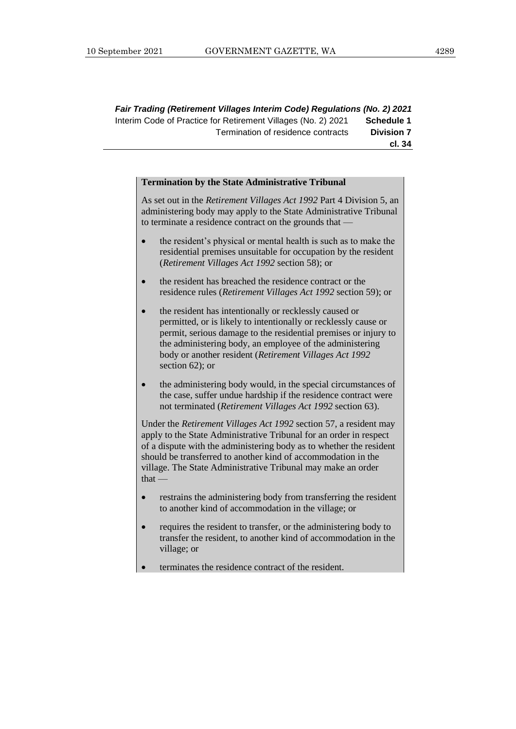*Fair Trading (Retirement Villages Interim Code) Regulations (No. 2) 2021* Interim Code of Practice for Retirement Villages (No. 2) 2021 **Schedule 1** Termination of residence contracts **Division 7 cl. 34**

#### **Termination by the State Administrative Tribunal**

As set out in the *Retirement Villages Act 1992* Part 4 Division 5, an administering body may apply to the State Administrative Tribunal to terminate a residence contract on the grounds that -

- the resident's physical or mental health is such as to make the residential premises unsuitable for occupation by the resident (*Retirement Villages Act 1992* section 58); or
- the resident has breached the residence contract or the residence rules (*Retirement Villages Act 1992* section 59); or
- the resident has intentionally or recklessly caused or permitted, or is likely to intentionally or recklessly cause or permit, serious damage to the residential premises or injury to the administering body, an employee of the administering body or another resident (*Retirement Villages Act 1992*  section 62); or
- the administering body would, in the special circumstances of the case, suffer undue hardship if the residence contract were not terminated (*Retirement Villages Act 1992* section 63).

Under the *Retirement Villages Act 1992* section 57, a resident may apply to the State Administrative Tribunal for an order in respect of a dispute with the administering body as to whether the resident should be transferred to another kind of accommodation in the village. The State Administrative Tribunal may make an order that —

- restrains the administering body from transferring the resident to another kind of accommodation in the village; or
- requires the resident to transfer, or the administering body to transfer the resident, to another kind of accommodation in the village; or
- terminates the residence contract of the resident.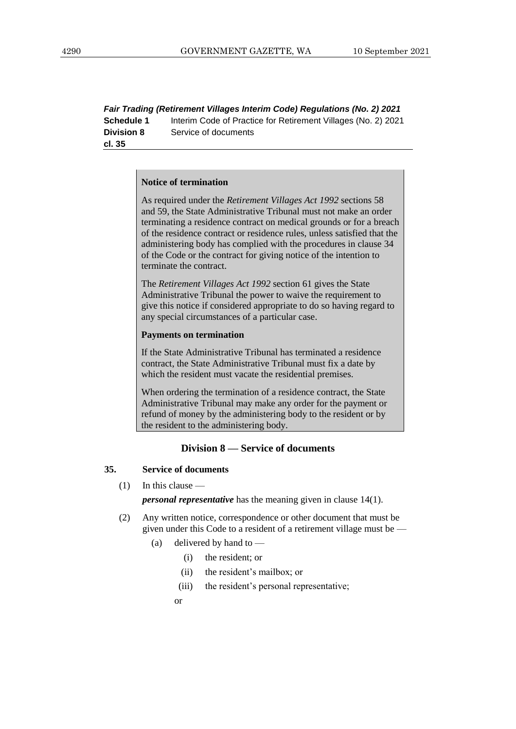*Fair Trading (Retirement Villages Interim Code) Regulations (No. 2) 2021* **Schedule 1** Interim Code of Practice for Retirement Villages (No. 2) 2021 **Division 8** Service of documents **cl. 35**

#### **Notice of termination**

As required under the *Retirement Villages Act 1992* sections 58 and 59, the State Administrative Tribunal must not make an order terminating a residence contract on medical grounds or for a breach of the residence contract or residence rules, unless satisfied that the administering body has complied with the procedures in clause 34 of the Code or the contract for giving notice of the intention to terminate the contract.

The *Retirement Villages Act 1992* section 61 gives the State Administrative Tribunal the power to waive the requirement to give this notice if considered appropriate to do so having regard to any special circumstances of a particular case.

#### **Payments on termination**

If the State Administrative Tribunal has terminated a residence contract, the State Administrative Tribunal must fix a date by which the resident must vacate the residential premises.

When ordering the termination of a residence contract, the State Administrative Tribunal may make any order for the payment or refund of money by the administering body to the resident or by the resident to the administering body.

#### **Division 8 — Service of documents**

#### **35. Service of documents**

 $(1)$  In this clause —

*personal representative* has the meaning given in clause 14(1).

- (2) Any written notice, correspondence or other document that must be given under this Code to a resident of a retirement village must be —
	- (a) delivered by hand to
		- (i) the resident; or
		- (ii) the resident's mailbox; or
		- (iii) the resident's personal representative;

or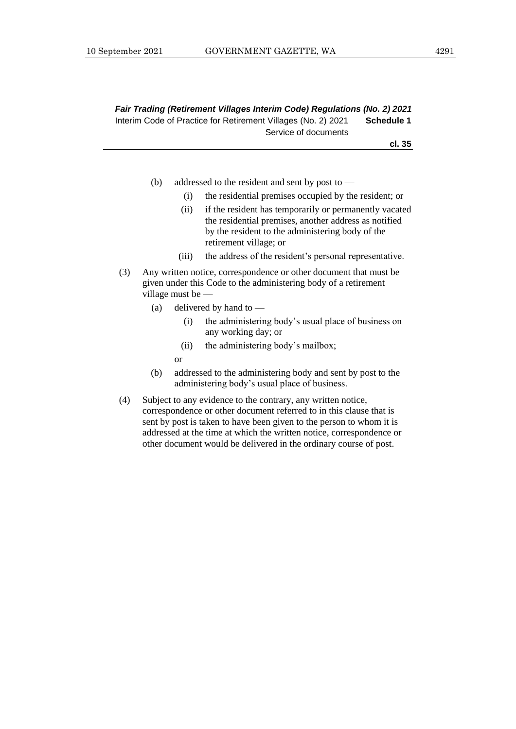*Fair Trading (Retirement Villages Interim Code) Regulations (No. 2) 2021* Interim Code of Practice for Retirement Villages (No. 2) 2021 **Schedule 1** Service of documents

**cl. 35**

- (b) addressed to the resident and sent by post to  $-$ 
	- (i) the residential premises occupied by the resident; or
	- (ii) if the resident has temporarily or permanently vacated the residential premises, another address as notified by the resident to the administering body of the retirement village; or
	- (iii) the address of the resident's personal representative.
- (3) Any written notice, correspondence or other document that must be given under this Code to the administering body of a retirement village must be —
	- (a) delivered by hand to
		- (i) the administering body's usual place of business on any working day; or
		- (ii) the administering body's mailbox;
		- or
	- (b) addressed to the administering body and sent by post to the administering body's usual place of business.
- (4) Subject to any evidence to the contrary, any written notice, correspondence or other document referred to in this clause that is sent by post is taken to have been given to the person to whom it is addressed at the time at which the written notice, correspondence or other document would be delivered in the ordinary course of post.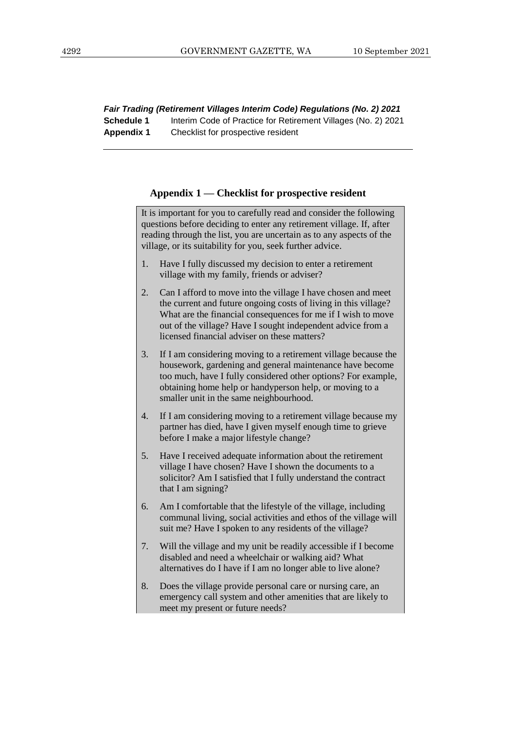*Fair Trading (Retirement Villages Interim Code) Regulations (No. 2) 2021* **Schedule 1** Interim Code of Practice for Retirement Villages (No. 2) 2021 **Appendix 1** Checklist for prospective resident

#### **Appendix 1 — Checklist for prospective resident**

It is important for you to carefully read and consider the following questions before deciding to enter any retirement village. If, after reading through the list, you are uncertain as to any aspects of the village, or its suitability for you, seek further advice.

- 1. Have I fully discussed my decision to enter a retirement village with my family, friends or adviser?
- 2. Can I afford to move into the village I have chosen and meet the current and future ongoing costs of living in this village? What are the financial consequences for me if I wish to move out of the village? Have I sought independent advice from a licensed financial adviser on these matters?
- 3. If I am considering moving to a retirement village because the housework, gardening and general maintenance have become too much, have I fully considered other options? For example, obtaining home help or handyperson help, or moving to a smaller unit in the same neighbourhood.
- 4. If I am considering moving to a retirement village because my partner has died, have I given myself enough time to grieve before I make a major lifestyle change?
- 5. Have I received adequate information about the retirement village I have chosen? Have I shown the documents to a solicitor? Am I satisfied that I fully understand the contract that I am signing?
- 6. Am I comfortable that the lifestyle of the village, including communal living, social activities and ethos of the village will suit me? Have I spoken to any residents of the village?
- 7. Will the village and my unit be readily accessible if I become disabled and need a wheelchair or walking aid? What alternatives do I have if I am no longer able to live alone?
- 8. Does the village provide personal care or nursing care, an emergency call system and other amenities that are likely to meet my present or future needs?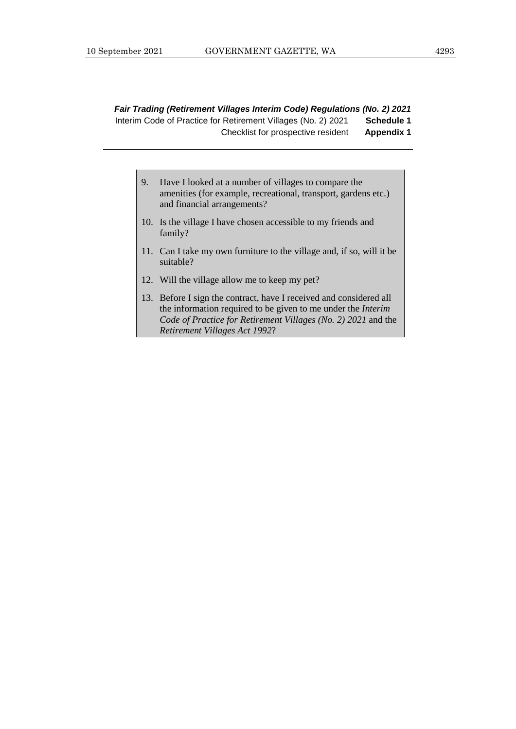*Fair Trading (Retirement Villages Interim Code) Regulations (No. 2) 2021* Interim Code of Practice for Retirement Villages (No. 2) 2021 **Schedule 1** Checklist for prospective resident **Appendix 1**

- 9. Have I looked at a number of villages to compare the amenities (for example, recreational, transport, gardens etc.) and financial arrangements?
- 10. Is the village I have chosen accessible to my friends and family?
- 11. Can I take my own furniture to the village and, if so, will it be suitable?
- 12. Will the village allow me to keep my pet?
- 13. Before I sign the contract, have I received and considered all the information required to be given to me under the *Interim Code of Practice for Retirement Villages (No. 2) 2021* and the *Retirement Villages Act 1992*?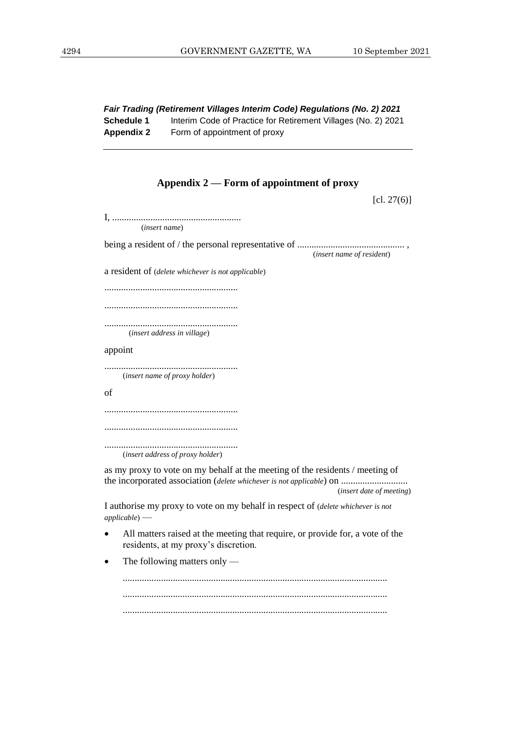*Fair Trading (Retirement Villages Interim Code) Regulations (No. 2) 2021* **Schedule 1** Interim Code of Practice for Retirement Villages (No. 2) 2021 **Appendix 2** Form of appointment of proxy

| Appendix 2 — Form of appointment of proxy                                                                                                             |                           |
|-------------------------------------------------------------------------------------------------------------------------------------------------------|---------------------------|
|                                                                                                                                                       | [cl. 27(6)]               |
|                                                                                                                                                       |                           |
| <i>(insert name)</i>                                                                                                                                  |                           |
|                                                                                                                                                       |                           |
|                                                                                                                                                       | (insert name of resident) |
| a resident of (delete whichever is not applicable)                                                                                                    |                           |
|                                                                                                                                                       |                           |
|                                                                                                                                                       |                           |
| (insert address in village)                                                                                                                           |                           |
|                                                                                                                                                       |                           |
| appoint                                                                                                                                               |                           |
| (insert name of proxy holder)                                                                                                                         |                           |
| of                                                                                                                                                    |                           |
|                                                                                                                                                       |                           |
|                                                                                                                                                       |                           |
| (insert address of proxy holder)                                                                                                                      |                           |
| as my proxy to vote on my behalf at the meeting of the residents / meeting of<br>the incorporated association (delete whichever is not applicable) on |                           |
|                                                                                                                                                       | (insert date of meeting)  |

I authorise my proxy to vote on my behalf in respect of (*delete whichever is not applicable*) —

- All matters raised at the meeting that require, or provide for, a vote of the residents, at my proxy's discretion.
- The following matters only —

............................................................................................................... ............................................................................................................... ...............................................................................................................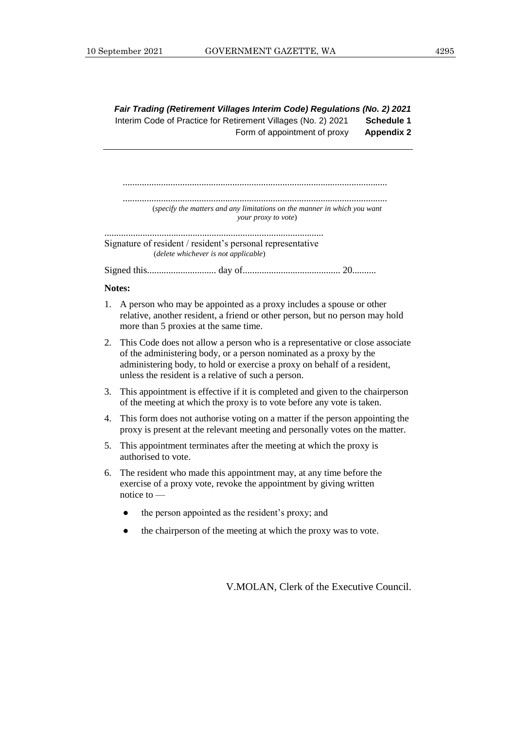*Fair Trading (Retirement Villages Interim Code) Regulations (No. 2) 2021* Interim Code of Practice for Retirement Villages (No. 2) 2021 **Schedule 1** Form of appointment of proxy **Appendix 2**

............................................................................................................... ............................................................................................................... (*specify the matters and any limitations on the manner in which you want your proxy to vote*)

............................................................................................ Signature of resident / resident's personal representative (*delete whichever is not applicable*)

Signed this............................. day of......................................... 20..........

#### **Notes:**

- 1. A person who may be appointed as a proxy includes a spouse or other relative, another resident, a friend or other person, but no person may hold more than 5 proxies at the same time.
- 2. This Code does not allow a person who is a representative or close associate of the administering body, or a person nominated as a proxy by the administering body, to hold or exercise a proxy on behalf of a resident, unless the resident is a relative of such a person.
- 3. This appointment is effective if it is completed and given to the chairperson of the meeting at which the proxy is to vote before any vote is taken.
- 4. This form does not authorise voting on a matter if the person appointing the proxy is present at the relevant meeting and personally votes on the matter.
- 5. This appointment terminates after the meeting at which the proxy is authorised to vote.
- 6. The resident who made this appointment may, at any time before the exercise of a proxy vote, revoke the appointment by giving written notice to
	- the person appointed as the resident's proxy; and
	- the chairperson of the meeting at which the proxy was to vote.

V.MOLAN, Clerk of the Executive Council.